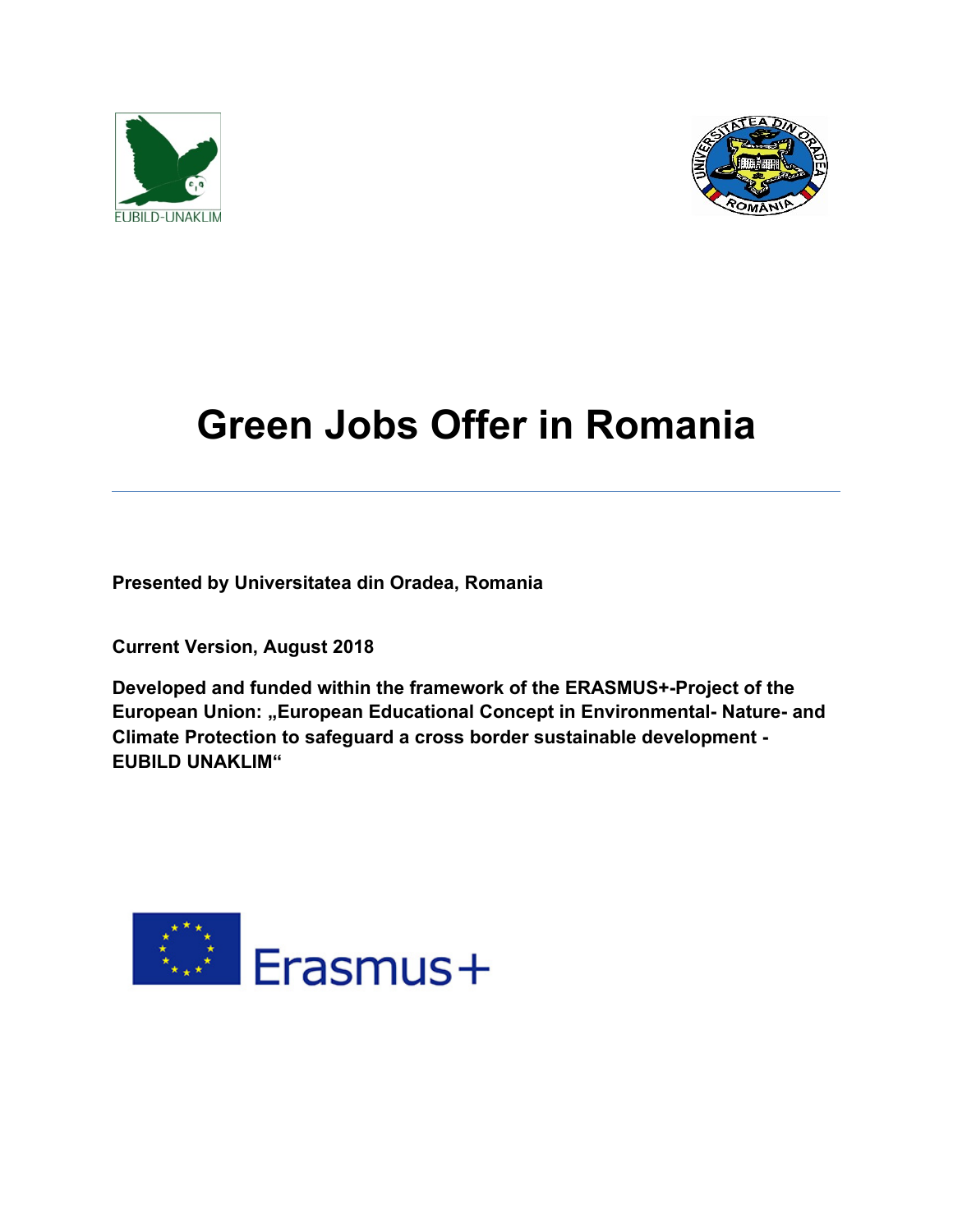



# **Green Jobs Offer in Romania**

**Presented by Universitatea din Oradea, Romania**

**Current Version, August 2018**

**Developed and funded within the framework of the ERASMUS+-Project of the European Union: "European Educational Concept in Environmental- Nature- and Climate Protection to safeguard a cross border sustainable development - EUBILD UNAKLIM"**

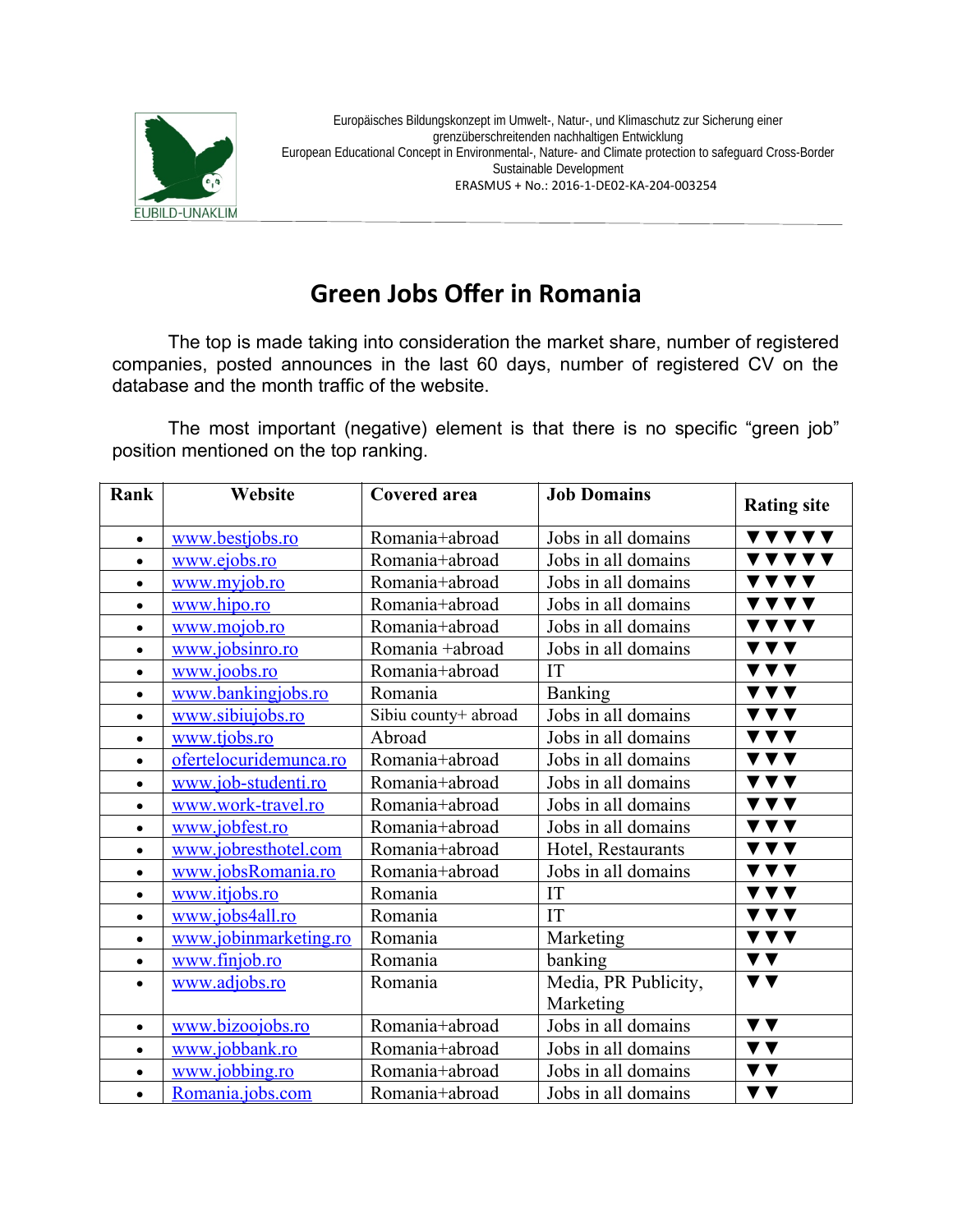

# **Green Jobs Ofer in Romania**

The top is made taking into consideration the market share, number of registered companies, posted announces in the last 60 days, number of registered CV on the database and the month traffic of the website.

The most important (negative) element is that there is no specific "green job" position mentioned on the top ranking.

| Rank      | Website                | <b>Covered area</b>  | <b>Job Domains</b>   | <b>Rating site</b>                                             |
|-----------|------------------------|----------------------|----------------------|----------------------------------------------------------------|
| $\bullet$ | www.bestjobs.ro        | Romania+abroad       | Jobs in all domains  | VVVVV                                                          |
| $\bullet$ | www.ejobs.ro           | Romania+abroad       | Jobs in all domains  | <u>VVVVV</u>                                                   |
| $\bullet$ | www.myjob.ro           | Romania+abroad       | Jobs in all domains  | <b>VVVV</b>                                                    |
| $\bullet$ | www.hipo.ro            | Romania+abroad       | Jobs in all domains  | <b>VVVV</b>                                                    |
| $\bullet$ | www.mojob.ro           | Romania+abroad       | Jobs in all domains  | VVVV                                                           |
| $\bullet$ | www.jobsinro.ro        | Romania +abroad      | Jobs in all domains  | <b>VVV</b>                                                     |
| $\bullet$ | www.joobs.ro           | Romania+abroad       | IT                   | $\blacktriangledown$ $\blacktriangledown$ $\blacktriangledown$ |
| $\bullet$ | www.bankingjobs.ro     | Romania              | <b>Banking</b>       | <b>VYV</b>                                                     |
| $\bullet$ | www.sibiujobs.ro       | Sibiu county+ abroad | Jobs in all domains  | <b>VVV</b>                                                     |
| $\bullet$ | www.tjobs.ro           | Abroad               | Jobs in all domains  | <b>VVV</b>                                                     |
| $\bullet$ | ofertelocuridemunca.ro | Romania+abroad       | Jobs in all domains  | $\blacktriangledown$ $\blacktriangledown$ $\blacktriangledown$ |
| $\bullet$ | www.job-studenti.ro    | Romania+abroad       | Jobs in all domains  | <b>VVV</b>                                                     |
| $\bullet$ | www.work-travel.ro     | Romania+abroad       | Jobs in all domains  | $\blacktriangledown \blacktriangledown \blacktriangledown$     |
| $\bullet$ | www.jobfest.ro         | Romania+abroad       | Jobs in all domains  | V V V                                                          |
| $\bullet$ | www.jobresthotel.com   | Romania+abroad       | Hotel, Restaurants   | <b>VVV</b>                                                     |
| $\bullet$ | www.jobsRomania.ro     | Romania+abroad       | Jobs in all domains  | $\blacktriangledown$ $\blacktriangledown$ $\blacktriangledown$ |
| $\bullet$ | www.itjobs.ro          | Romania              | IT                   | V V V                                                          |
| $\bullet$ | www.jobs4all.ro        | Romania              | IT                   | $\blacktriangledown$ $\blacktriangledown$ $\blacktriangledown$ |
| $\bullet$ | www.jobinmarketing.ro  | Romania              | Marketing            | V V V                                                          |
| $\bullet$ | www.finjob.ro          | Romania              | banking              | $\blacktriangledown$ $\blacktriangledown$                      |
| $\bullet$ | www.adjobs.ro          | Romania              | Media, PR Publicity, | $\blacktriangledown$ $\blacktriangledown$                      |
|           |                        |                      | Marketing            |                                                                |
| $\bullet$ | www.bizoojobs.ro       | Romania+abroad       | Jobs in all domains  | $\blacktriangledown$ $\blacktriangledown$                      |
| $\bullet$ | www.jobbank.ro         | Romania+abroad       | Jobs in all domains  | $\blacktriangledown$ $\blacktriangledown$                      |
| $\bullet$ | www.jobbing.ro         | Romania+abroad       | Jobs in all domains  | $\blacktriangledown$ $\blacktriangledown$                      |
| $\bullet$ | Romania.jobs.com       | Romania+abroad       | Jobs in all domains  | $\blacktriangledown$ $\blacktriangledown$                      |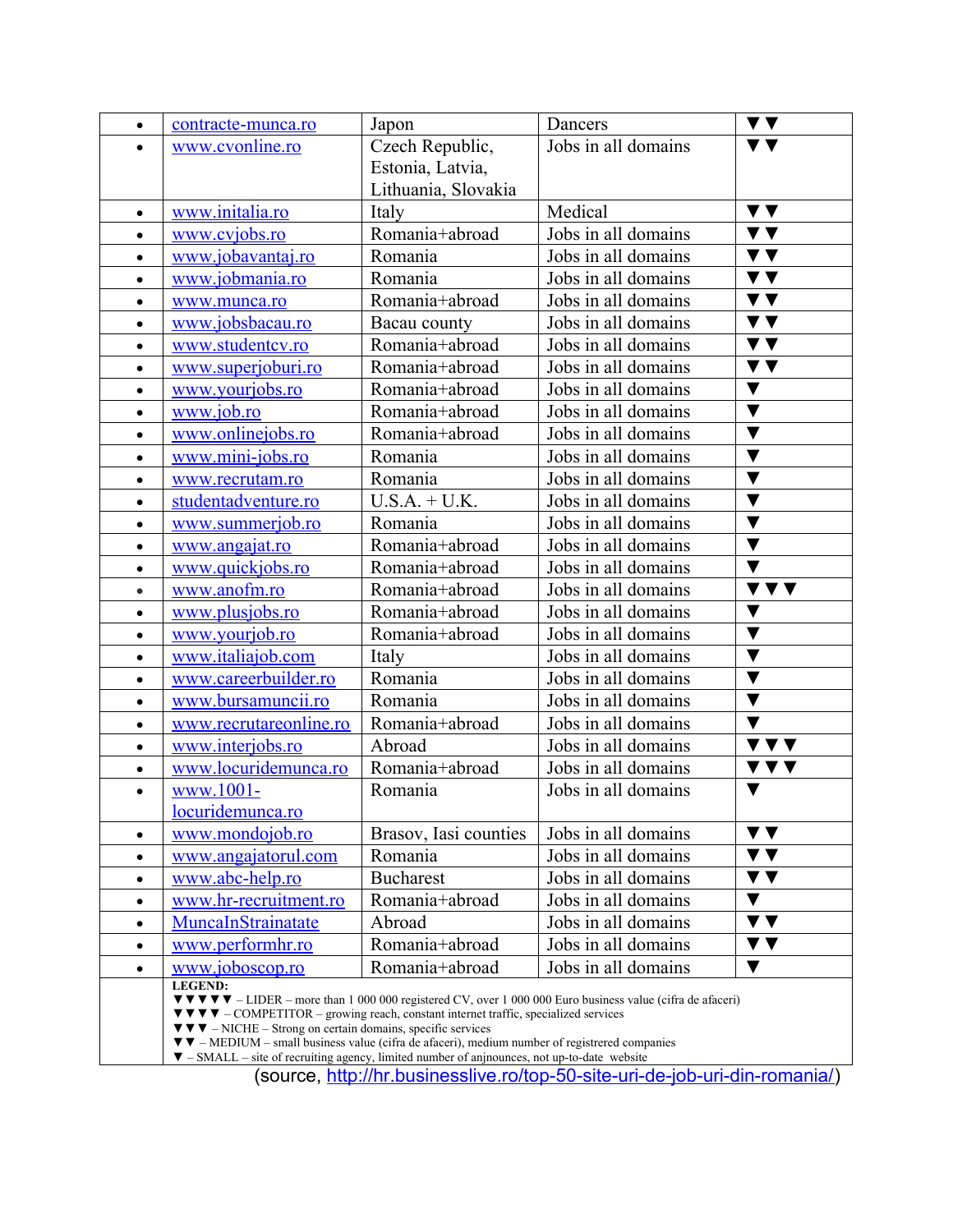| $\bullet$ | contracte-munca.ro                                                                                                                                                                               | Japon                 | Dancers                                                                                                                                                                          | $\blacktriangledown$ $\blacktriangledown$ |
|-----------|--------------------------------------------------------------------------------------------------------------------------------------------------------------------------------------------------|-----------------------|----------------------------------------------------------------------------------------------------------------------------------------------------------------------------------|-------------------------------------------|
| $\bullet$ | www.cvonline.ro                                                                                                                                                                                  | Czech Republic,       | Jobs in all domains                                                                                                                                                              | $\blacktriangledown$ $\blacktriangledown$ |
|           |                                                                                                                                                                                                  | Estonia, Latvia,      |                                                                                                                                                                                  |                                           |
|           |                                                                                                                                                                                                  | Lithuania, Slovakia   |                                                                                                                                                                                  |                                           |
| $\bullet$ | www.initalia.ro                                                                                                                                                                                  | Italy                 | Medical                                                                                                                                                                          | $\overline{\mathbf{v}}$                   |
| $\bullet$ | www.cvjobs.ro                                                                                                                                                                                    | Romania+abroad        | Jobs in all domains                                                                                                                                                              | $\blacktriangledown$ $\blacktriangledown$ |
| $\bullet$ | www.jobavantaj.ro                                                                                                                                                                                | Romania               | Jobs in all domains                                                                                                                                                              | $\blacktriangledown$ $\blacktriangledown$ |
| $\bullet$ | www.jobmania.ro                                                                                                                                                                                  | Romania               | Jobs in all domains                                                                                                                                                              | $\blacktriangledown$                      |
| $\bullet$ | www.munca.ro                                                                                                                                                                                     | Romania+abroad        | Jobs in all domains                                                                                                                                                              | $\blacktriangledown$ $\blacktriangledown$ |
| $\bullet$ | www.jobsbacau.ro                                                                                                                                                                                 | Bacau county          | Jobs in all domains                                                                                                                                                              | $\blacktriangledown$ $\blacktriangledown$ |
| $\bullet$ | www.studentcv.ro                                                                                                                                                                                 | Romania+abroad        | Jobs in all domains                                                                                                                                                              | $\blacktriangledown$ $\blacktriangledown$ |
| $\bullet$ | www.superjoburi.ro                                                                                                                                                                               | Romania+abroad        | Jobs in all domains                                                                                                                                                              | $\blacktriangledown$ $\blacktriangledown$ |
| $\bullet$ | www.yourjobs.ro                                                                                                                                                                                  | Romania+abroad        | Jobs in all domains                                                                                                                                                              | $\blacktriangledown$                      |
| $\bullet$ | www.job.ro                                                                                                                                                                                       | Romania+abroad        | Jobs in all domains                                                                                                                                                              | $\blacktriangledown$                      |
| $\bullet$ | www.onlinejobs.ro                                                                                                                                                                                | Romania+abroad        | Jobs in all domains                                                                                                                                                              | $\blacktriangledown$                      |
| $\bullet$ | www.mini-jobs.ro                                                                                                                                                                                 | Romania               | Jobs in all domains                                                                                                                                                              | $\blacktriangledown$                      |
| $\bullet$ | www.recrutam.ro                                                                                                                                                                                  | Romania               | Jobs in all domains                                                                                                                                                              | $\blacktriangledown$                      |
| $\bullet$ | studentadventure.ro                                                                                                                                                                              | $U.S.A. + U.K.$       | Jobs in all domains                                                                                                                                                              | $\blacktriangledown$                      |
| $\bullet$ | www.summerjob.ro                                                                                                                                                                                 | Romania               | Jobs in all domains                                                                                                                                                              | $\blacktriangledown$                      |
| $\bullet$ | www.angajat.ro                                                                                                                                                                                   | Romania+abroad        | Jobs in all domains                                                                                                                                                              | $\blacktriangledown$                      |
| $\bullet$ | www.quickjobs.ro                                                                                                                                                                                 | Romania+abroad        | Jobs in all domains                                                                                                                                                              | $\blacktriangledown$                      |
| $\bullet$ | www.anofm.ro                                                                                                                                                                                     | Romania+abroad        | Jobs in all domains                                                                                                                                                              | <b>V V V</b>                              |
| $\bullet$ | www.plusjobs.ro                                                                                                                                                                                  | Romania+abroad        | Jobs in all domains                                                                                                                                                              | $\blacktriangledown$                      |
| $\bullet$ | www.yourjob.ro                                                                                                                                                                                   | Romania+abroad        | Jobs in all domains                                                                                                                                                              | $\blacktriangledown$                      |
| $\bullet$ | www.italiajob.com                                                                                                                                                                                | Italy                 | Jobs in all domains                                                                                                                                                              | $\blacktriangledown$                      |
| $\bullet$ | www.careerbuilder.ro                                                                                                                                                                             | Romania               | Jobs in all domains                                                                                                                                                              | $\blacktriangledown$                      |
| $\bullet$ | www.bursamuncii.ro                                                                                                                                                                               | Romania               | Jobs in all domains                                                                                                                                                              | $\blacktriangledown$                      |
| $\bullet$ | www.recrutareonline.ro                                                                                                                                                                           | Romania+abroad        | Jobs in all domains                                                                                                                                                              | $\blacktriangledown$                      |
| $\bullet$ | www.interjobs.ro                                                                                                                                                                                 | Abroad                | Jobs in all domains                                                                                                                                                              | <b>VVV</b>                                |
| $\bullet$ | www.locuridemunca.ro                                                                                                                                                                             | Romania+abroad        | Jobs in all domains                                                                                                                                                              | V V V                                     |
| $\bullet$ | www.1001-                                                                                                                                                                                        | Romania               | Jobs in all domains                                                                                                                                                              | ▼                                         |
|           | locuridemunca.ro                                                                                                                                                                                 |                       |                                                                                                                                                                                  |                                           |
| $\bullet$ | www.mondojob.ro                                                                                                                                                                                  | Brasov, Iasi counties | Jobs in all domains                                                                                                                                                              | V V                                       |
| $\bullet$ | www.angajatorul.com                                                                                                                                                                              | Romania               | Jobs in all domains                                                                                                                                                              | V V                                       |
| $\bullet$ | www.abc-help.ro                                                                                                                                                                                  | <b>Bucharest</b>      | Jobs in all domains                                                                                                                                                              | V V                                       |
| $\bullet$ | www.hr-recruitment.ro                                                                                                                                                                            | Romania+abroad        | Jobs in all domains                                                                                                                                                              | $\blacktriangledown$                      |
| $\bullet$ | MuncaInStrainatate                                                                                                                                                                               | Abroad                | Jobs in all domains                                                                                                                                                              | $\blacktriangledown$ $\blacktriangledown$ |
| $\bullet$ | www.performhr.ro                                                                                                                                                                                 | Romania+abroad        | Jobs in all domains                                                                                                                                                              | ▼▼                                        |
| $\bullet$ | www.joboscop.ro                                                                                                                                                                                  | Romania+abroad        | Jobs in all domains                                                                                                                                                              | $\blacktriangledown$                      |
|           | <b>LEGEND:</b>                                                                                                                                                                                   |                       | $\blacktriangledown \blacktriangledown \blacktriangledown \blacktriangledown$ - LIDER – more than 1 000 000 registered CV, over 1 000 000 Euro business value (cifra de afaceri) |                                           |
|           | $\blacktriangledown \blacktriangledown \blacktriangledown$ – COMPETITOR – growing reach, constant internet traffic, specialized services                                                         |                       |                                                                                                                                                                                  |                                           |
|           | $\blacktriangledown \blacktriangledown$ – NICHE – Strong on certain domains, specific services<br>▼ ▼ - MEDIUM - small business value (cifra de afaceri), medium number of registrered companies |                       |                                                                                                                                                                                  |                                           |

▼ – SMALL – site of recruiting agency, limited number of anjnounces, not up-to-date website

(source, [http://hr.businesslive.ro/top-50-site-uri-de-job-uri-din-romania/\)](http://hr.businesslive.ro/top-50-site-uri-de-job-uri-din-romania/)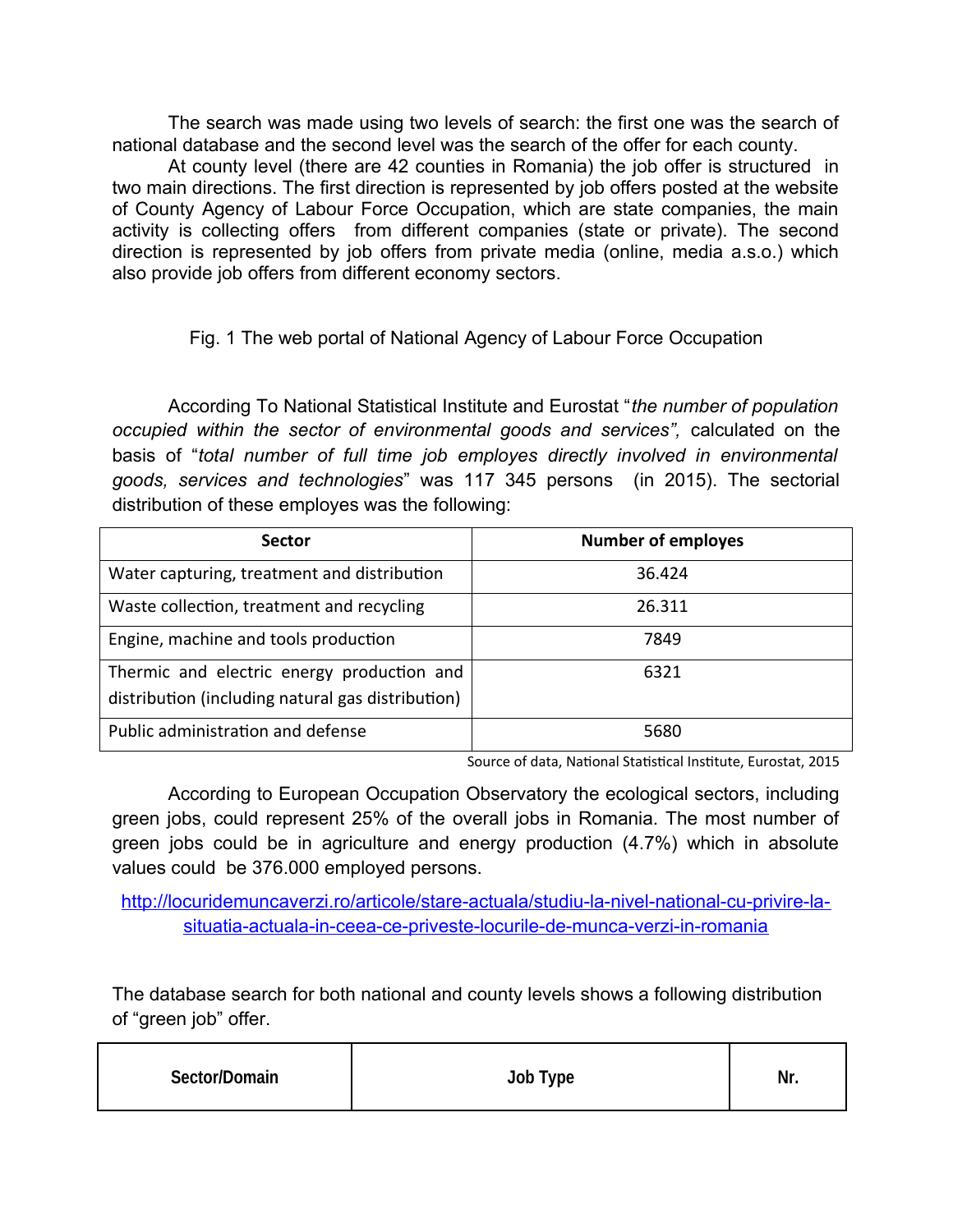The search was made using two levels of search: the first one was the search of national database and the second level was the search of the offer for each county.

At county level (there are 42 counties in Romania) the job offer is structured in two main directions. The first direction is represented by job offers posted at the website of County Agency of Labour Force Occupation, which are state companies, the main activity is collecting offers from different companies (state or private). The second direction is represented by job offers from private media (online, media a.s.o.) which also provide job offers from different economy sectors.

Fig. 1 The web portal of National Agency of Labour Force Occupation

According To National Statistical Institute and Eurostat "*the number of population occupied within the sector of environmental goods and services",* calculated on the basis of "*total number of full time job employes directly involved in environmental goods, services and technologies*" was 117 345 persons (in 2015). The sectorial distribution of these employes was the following:

| <b>Sector</b>                                                                                   | <b>Number of employes</b> |
|-------------------------------------------------------------------------------------------------|---------------------------|
| Water capturing, treatment and distribution                                                     | 36.424                    |
| Waste collection, treatment and recycling                                                       | 26.311                    |
| Engine, machine and tools production                                                            | 7849                      |
| Thermic and electric energy production and<br>distribution (including natural gas distribution) | 6321                      |
| Public administration and defense                                                               | 5680                      |

Source of data, National Statistical Institute, Eurostat, 2015

According to European Occupation Observatory the ecological sectors, including green jobs, could represent 25% of the overall jobs in Romania. The most number of green jobs could be in agriculture and energy production (4.7%) which in absolute values could be 376.000 employed persons.

[http://locuridemuncaverzi.ro/articole/stare-actuala/studiu-la-nivel-national-cu-privire-la](http://locuridemuncaverzi.ro/articole/stare-actuala/studiu-la-nivel-national-cu-privire-la-situatia-actuala-in-ceea-ce-priveste-locurile-de-munca-verzi-in-romania)[situatia-actuala-in-ceea-ce-priveste-locurile-de-munca-verzi-in-romania](http://locuridemuncaverzi.ro/articole/stare-actuala/studiu-la-nivel-national-cu-privire-la-situatia-actuala-in-ceea-ce-priveste-locurile-de-munca-verzi-in-romania)

The database search for both national and county levels shows a following distribution of "green job" offer.

| Sector/Domain | Job Type | Nr. |
|---------------|----------|-----|
|---------------|----------|-----|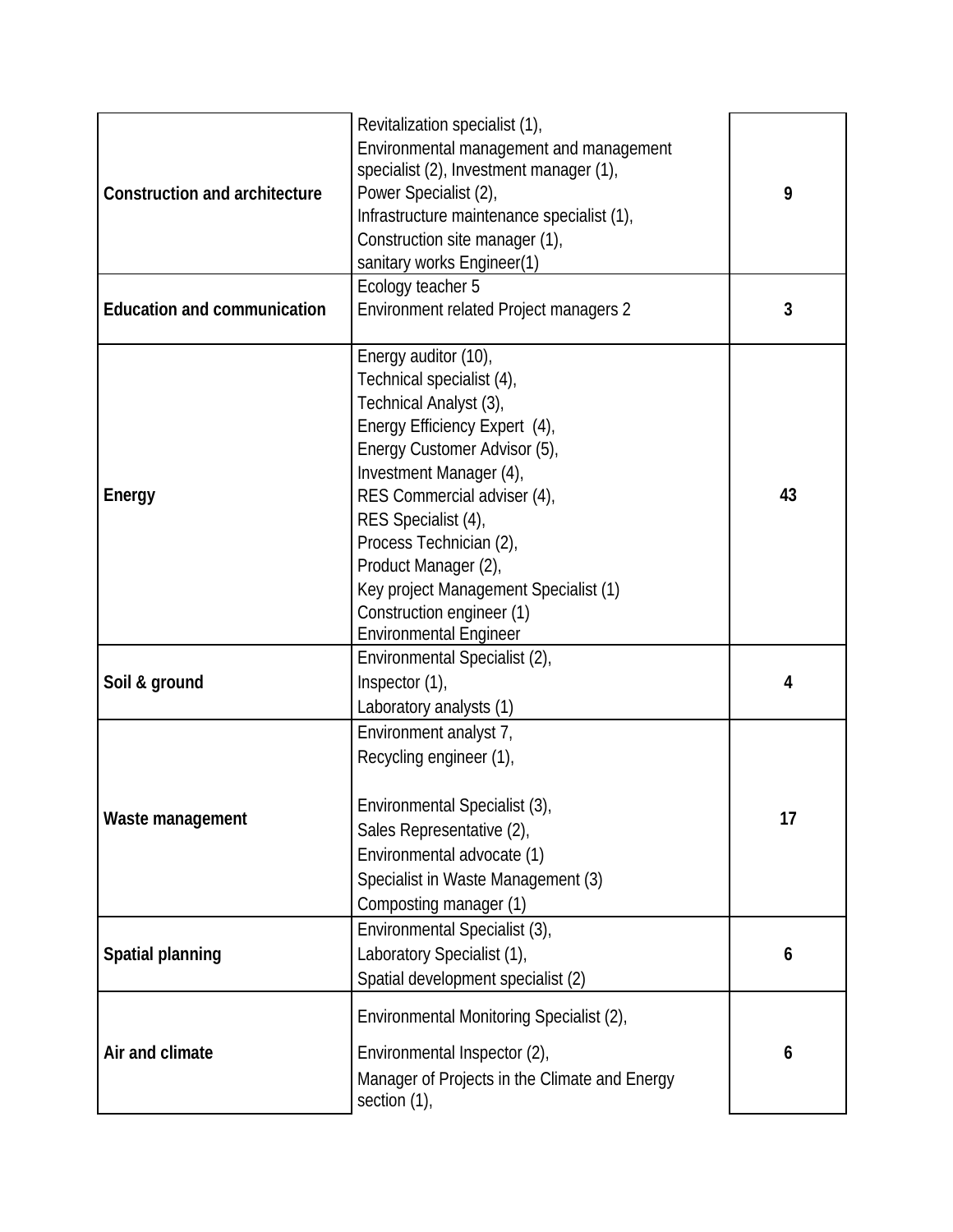| <b>Construction and architecture</b> | Revitalization specialist (1),<br>Environmental management and management<br>specialist (2), Investment manager (1),<br>Power Specialist (2),<br>Infrastructure maintenance specialist (1),<br>Construction site manager (1),<br>sanitary works Engineer(1)<br>Ecology teacher 5                                                                                                        | 9              |
|--------------------------------------|-----------------------------------------------------------------------------------------------------------------------------------------------------------------------------------------------------------------------------------------------------------------------------------------------------------------------------------------------------------------------------------------|----------------|
| <b>Education and communication</b>   | Environment related Project managers 2                                                                                                                                                                                                                                                                                                                                                  | 3              |
| <b>Energy</b>                        | Energy auditor (10),<br>Technical specialist (4),<br>Technical Analyst (3),<br>Energy Efficiency Expert (4),<br>Energy Customer Advisor (5),<br>Investment Manager (4),<br>RES Commercial adviser (4),<br>RES Specialist (4),<br>Process Technician (2),<br>Product Manager (2),<br>Key project Management Specialist (1)<br>Construction engineer (1)<br><b>Environmental Engineer</b> | 43             |
| Soil & ground                        | Environmental Specialist (2),<br>Inspector (1),<br>Laboratory analysts (1)                                                                                                                                                                                                                                                                                                              | 4              |
| Waste management                     | Environment analyst 7,<br>Recycling engineer (1),<br>Environmental Specialist (3),<br>Sales Representative (2),<br>Environmental advocate (1)<br>Specialist in Waste Management (3)<br>Composting manager (1)                                                                                                                                                                           | 17             |
| <b>Spatial planning</b>              | Environmental Specialist (3),<br>Laboratory Specialist (1),<br>Spatial development specialist (2)                                                                                                                                                                                                                                                                                       | $6\phantom{1}$ |
| Air and climate                      | Environmental Monitoring Specialist (2),<br>Environmental Inspector (2),<br>Manager of Projects in the Climate and Energy<br>section (1),                                                                                                                                                                                                                                               | $6\phantom{1}$ |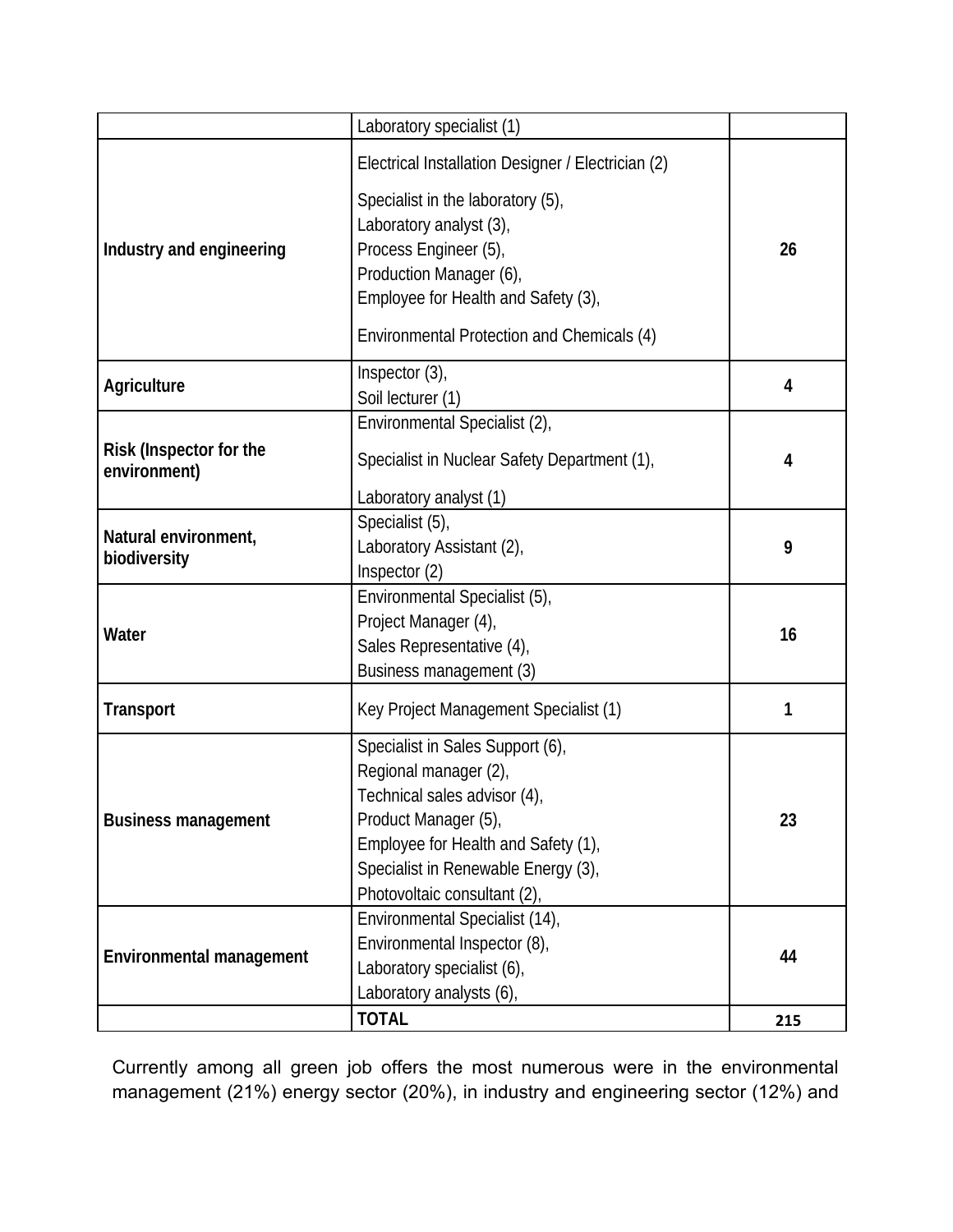|                                                | Laboratory specialist (1)                          |     |  |
|------------------------------------------------|----------------------------------------------------|-----|--|
|                                                | Electrical Installation Designer / Electrician (2) |     |  |
|                                                | Specialist in the laboratory (5),                  |     |  |
|                                                | Laboratory analyst (3),                            |     |  |
| Industry and engineering                       | Process Engineer (5),                              | 26  |  |
|                                                | Production Manager (6),                            |     |  |
|                                                | Employee for Health and Safety (3),                |     |  |
|                                                | Environmental Protection and Chemicals (4)         |     |  |
| <b>Agriculture</b>                             | Inspector (3),                                     | 4   |  |
|                                                | Soil lecturer (1)                                  |     |  |
|                                                | Environmental Specialist (2),                      |     |  |
| <b>Risk (Inspector for the</b><br>environment) | Specialist in Nuclear Safety Department (1),       | 4   |  |
|                                                | Laboratory analyst (1)                             |     |  |
|                                                | Specialist (5),                                    |     |  |
| Natural environment,                           | Laboratory Assistant (2),                          | 9   |  |
| biodiversity                                   | Inspector (2)                                      |     |  |
|                                                | Environmental Specialist (5),                      |     |  |
| Water                                          | Project Manager (4),                               | 16  |  |
|                                                | Sales Representative (4),                          |     |  |
|                                                | Business management (3)                            |     |  |
| <b>Transport</b>                               | Key Project Management Specialist (1)              | 1   |  |
|                                                | Specialist in Sales Support (6),                   |     |  |
|                                                | Regional manager (2),                              |     |  |
|                                                | Technical sales advisor (4),                       |     |  |
| <b>Business management</b>                     | Product Manager (5),                               | 23  |  |
|                                                | Employee for Health and Safety (1),                |     |  |
|                                                | Specialist in Renewable Energy (3),                |     |  |
|                                                | Photovoltaic consultant (2),                       |     |  |
|                                                | Environmental Specialist (14),                     |     |  |
| <b>Environmental management</b>                | Environmental Inspector (8),                       | 44  |  |
|                                                | Laboratory specialist (6),                         |     |  |
|                                                | Laboratory analysts (6),                           |     |  |
|                                                | <b>TOTAL</b>                                       | 215 |  |

Currently among all green job offers the most numerous were in the environmental management (21%) energy sector (20%), in industry and engineering sector (12%) and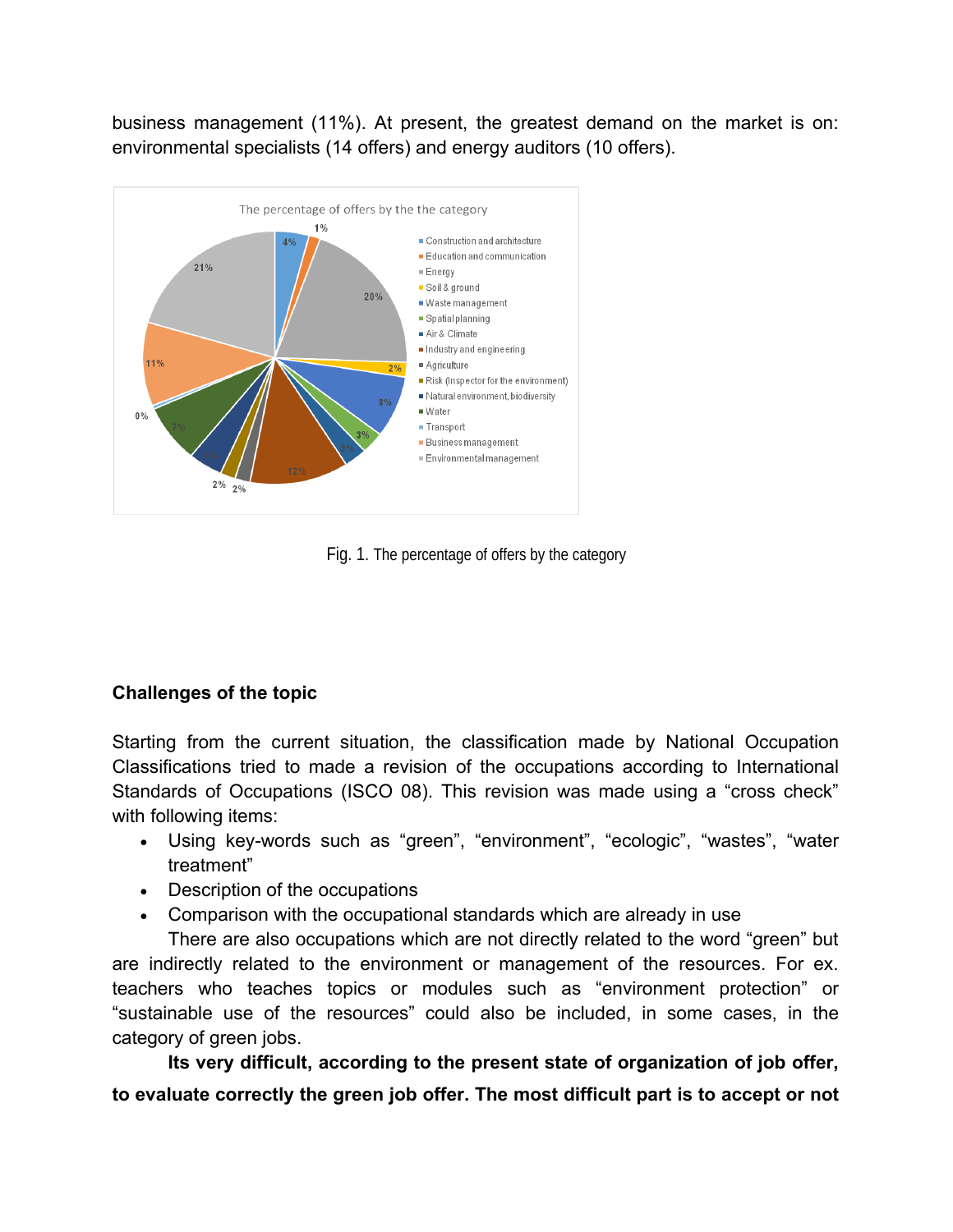business management (11%). At present, the greatest demand on the market is on: environmental specialists (14 offers) and energy auditors (10 offers).



Fig. 1. The percentage of offers by the category

# **Challenges of the topic**

Starting from the current situation, the classification made by National Occupation Classifications tried to made a revision of the occupations according to International Standards of Occupations (ISCO 08). This revision was made using a "cross check" with following items:

- Using key-words such as "green", "environment", "ecologic", "wastes", "water treatment"
- Description of the occupations
- Comparison with the occupational standards which are already in use

There are also occupations which are not directly related to the word "green" but are indirectly related to the environment or management of the resources. For ex. teachers who teaches topics or modules such as "environment protection" or "sustainable use of the resources" could also be included, in some cases, in the category of green jobs.

**Its very difficult, according to the present state of organization of job offer, to evaluate correctly the green job offer. The most difficult part is to accept or not**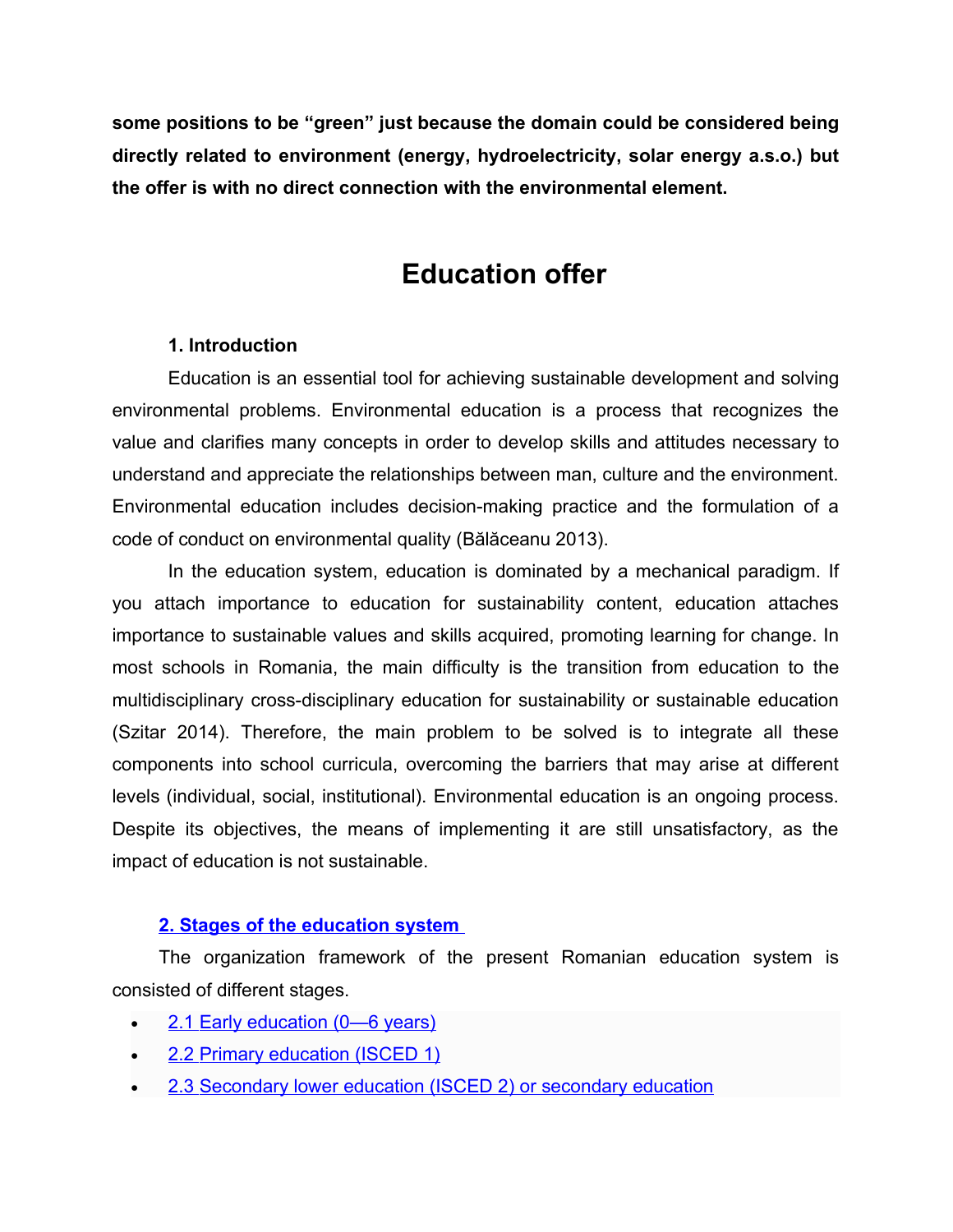**some positions to be "green" just because the domain could be considered being directly related to environment (energy, hydroelectricity, solar energy a.s.o.) but the offer is with no direct connection with the environmental element.**

# **Education offer**

#### **1. Introduction**

Education is an essential tool for achieving sustainable development and solving environmental problems. Environmental education is a process that recognizes the value and clarifies many concepts in order to develop skills and attitudes necessary to understand and appreciate the relationships between man, culture and the environment. Environmental education includes decision-making practice and the formulation of a code of conduct on environmental quality (Bălăceanu 2013).

In the education system, education is dominated by a mechanical paradigm. If you attach importance to education for sustainability content, education attaches importance to sustainable values and skills acquired, promoting learning for change. In most schools in Romania, the main difficulty is the transition from education to the multidisciplinary cross-disciplinary education for sustainability or sustainable education (Szitar 2014). Therefore, the main problem to be solved is to integrate all these components into school curricula, overcoming the barriers that may arise at different levels (individual, social, institutional). Environmental education is an ongoing process. Despite its objectives, the means of implementing it are still unsatisfactory, as the impact of education is not sustainable.

# **[2. Stages of the education system](https://webgate.ec.europa.eu/fpfis/mwikis/eurydice/index.php/Romania:Overview#Stages_of_the_education_system.C2.A0)**

The organization framework of the present Romanian education system is consisted of different stages.

- [2.1 Early education \(0—6 years\)](https://webgate.ec.europa.eu/fpfis/mwikis/eurydice/index.php/Romania:Overview#Early_education_.280.E2.80.946_years.29)
- [2.2 Primary education \(ISCED 1\)](https://webgate.ec.europa.eu/fpfis/mwikis/eurydice/index.php/Romania:Overview#Primary_education_.28ISCED_1.29)
- [2.3 Secondary lower education \(ISCED 2\) or secondary education](https://webgate.ec.europa.eu/fpfis/mwikis/eurydice/index.php/Romania:Overview#Secondary_lower_education_.28ISCED_2.29_or_secondary_education)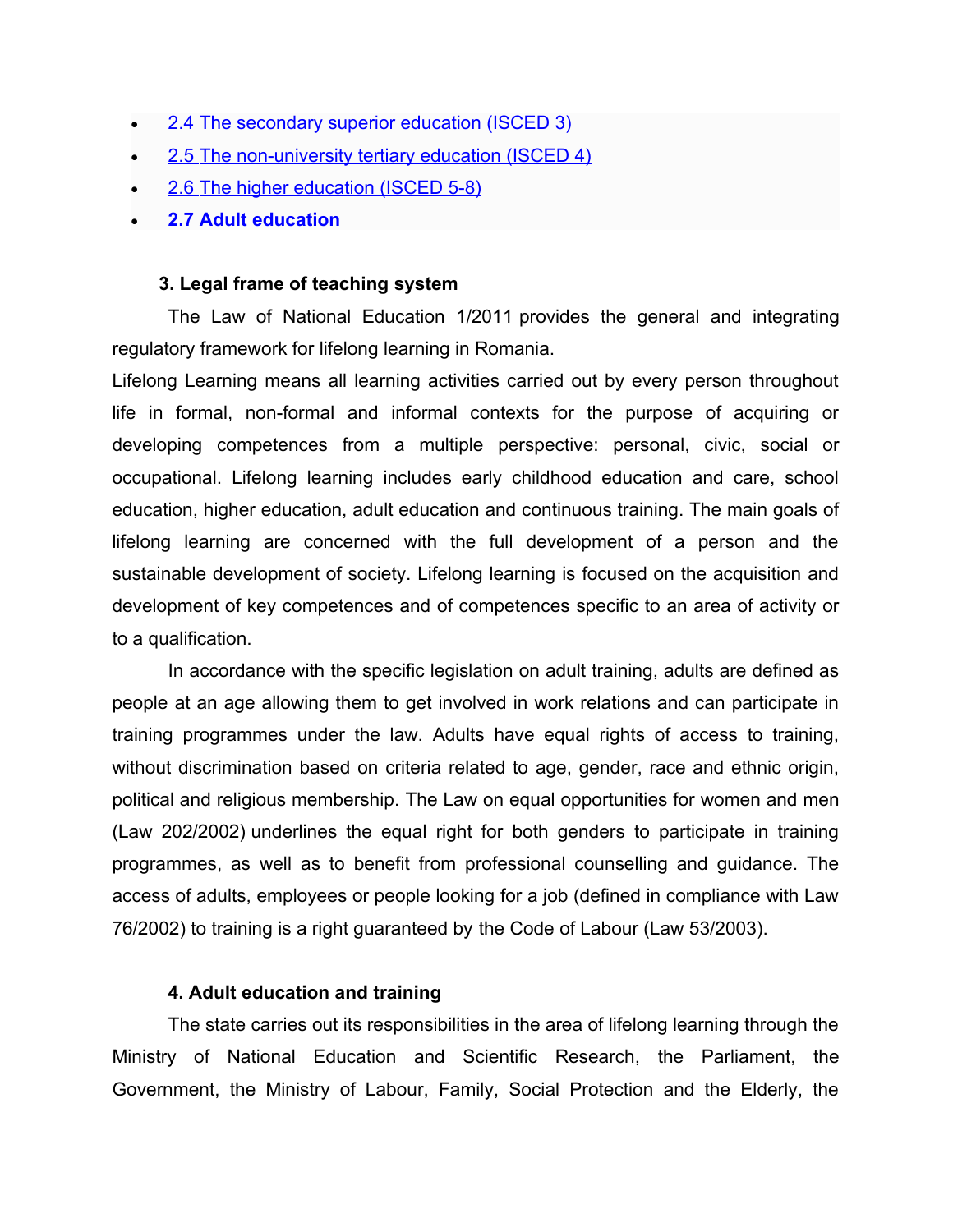- [2.4 The secondary superior education \(ISCED 3\)](https://webgate.ec.europa.eu/fpfis/mwikis/eurydice/index.php/Romania:Overview#The_secondary_superior_education_.28ISCED_3.29)
- [2.5 The non-university tertiary education \(ISCED 4\)](https://webgate.ec.europa.eu/fpfis/mwikis/eurydice/index.php/Romania:Overview#The_non-university_tertiary_education_.28ISCED_4.29)
- [2.6 The higher education \(ISCED 5-8\)](https://webgate.ec.europa.eu/fpfis/mwikis/eurydice/index.php/Romania:Overview#The_higher_education_.28ISCED_5-8.29)
- **[2.7 Adult education](https://webgate.ec.europa.eu/fpfis/mwikis/eurydice/index.php/Romania:Overview#Adult_education)**

#### **3. Legal frame of teaching system**

The Law of National Education 1/2011 provides the general and integrating regulatory framework for lifelong learning in Romania.

Lifelong Learning means all learning activities carried out by every person throughout life in formal, non-formal and informal contexts for the purpose of acquiring or developing competences from a multiple perspective: personal, civic, social or occupational. Lifelong learning includes early childhood education and care, school education, higher education, adult education and continuous training. The main goals of lifelong learning are concerned with the full development of a person and the sustainable development of society. Lifelong learning is focused on the acquisition and development of key competences and of competences specific to an area of activity or to a qualification.

In accordance with the specific legislation on adult training, adults are defined as people at an age allowing them to get involved in work relations and can participate in training programmes under the law. Adults have equal rights of access to training, without discrimination based on criteria related to age, gender, race and ethnic origin, political and religious membership. The Law on equal opportunities for women and men (Law 202/2002) underlines the equal right for both genders to participate in training programmes, as well as to benefit from professional counselling and guidance. The access of adults, employees or people looking for a job (defined in compliance with Law 76/2002) to training is a right guaranteed by the Code of Labour (Law 53/2003).

#### **4. Adult education and training**

The state carries out its responsibilities in the area of lifelong learning through the Ministry of National Education and Scientific Research, the Parliament, the Government, the Ministry of Labour, Family, Social Protection and the Elderly, the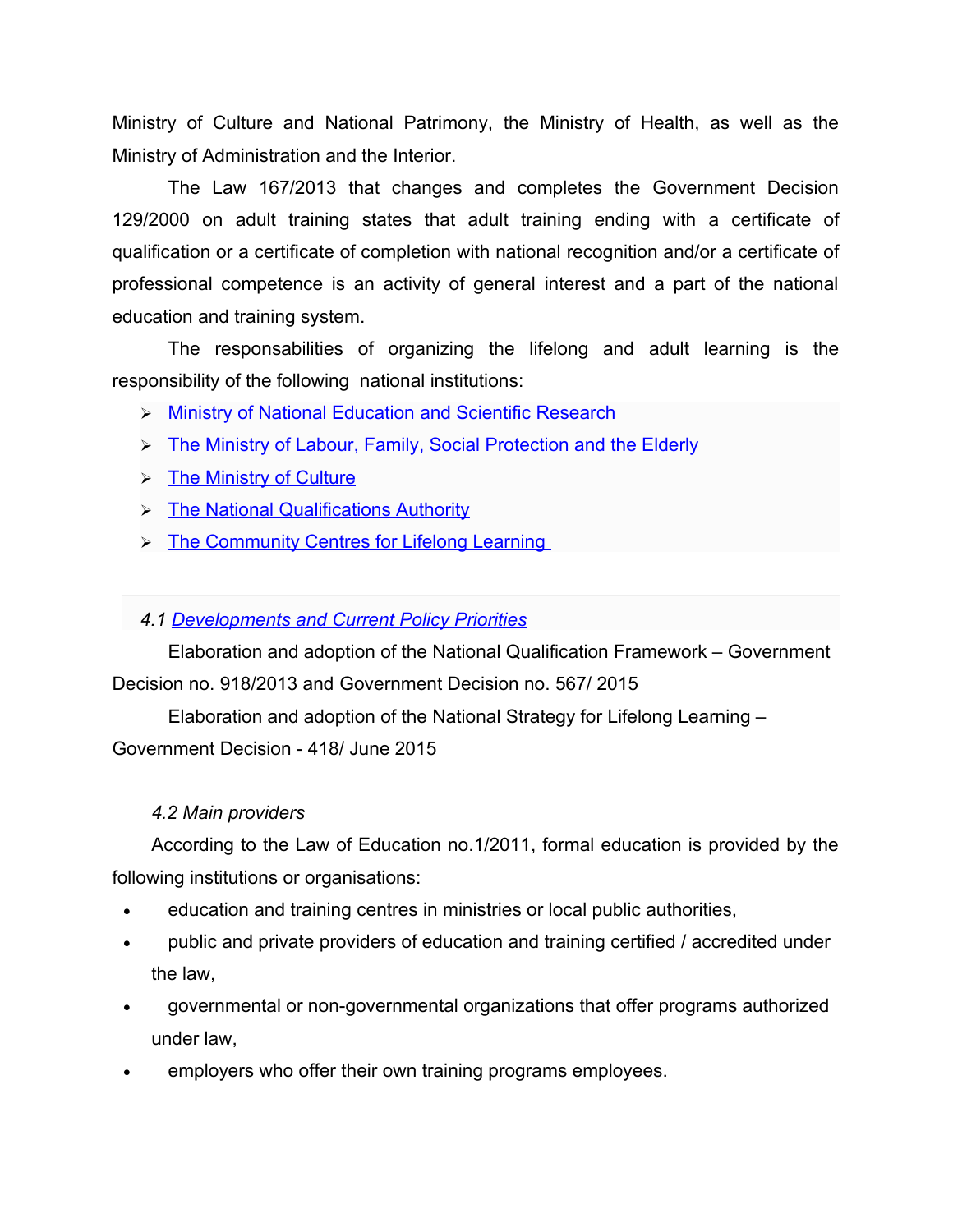Ministry of Culture and National Patrimony, the Ministry of Health, as well as the Ministry of Administration and the Interior.

The Law 167/2013 that changes and completes the Government Decision 129/2000 on adult training states that adult training ending with a certificate of qualification or a certificate of completion with national recognition and/or a certificate of professional competence is an activity of general interest and a part of the national education and training system.

The responsabilities of organizing the lifelong and adult learning is the responsibility of the following national institutions:

- > [Ministry of National Education and Scientific Research](https://webgate.ec.europa.eu/fpfis/mwikis/eurydice/index.php/Romania:Distribution_of_Responsibilities#Ministry_of_National_Education_and_Scientific_Research.C2.A0)
- > [The Ministry of Labour, Family, Social Protection and the Elderly](https://webgate.ec.europa.eu/fpfis/mwikis/eurydice/index.php/Romania:Distribution_of_Responsibilities#The_Ministry_of_Labour.2C_Family.2C_Social_Protection_and_the_Elderly)
- $\triangleright$  [The Ministry of Culture](https://webgate.ec.europa.eu/fpfis/mwikis/eurydice/index.php/Romania:Distribution_of_Responsibilities#The_Ministry_of_Culture)
- > [The National Qualifications Authority](https://webgate.ec.europa.eu/fpfis/mwikis/eurydice/index.php/Romania:Distribution_of_Responsibilities#The_National_Qualifications_Authority)
- > [The Community Centres for Lifelong Learning](https://webgate.ec.europa.eu/fpfis/mwikis/eurydice/index.php/Romania:Distribution_of_Responsibilities#The_Community_Centres_for_Lifelong_Learning.C2.A0)

#### *4.1 [Developments and Current Policy Priorities](https://webgate.ec.europa.eu/fpfis/mwikis/eurydice/index.php/Romania:Developments_and_Current_Policy_Priorities)*

Elaboration and adoption of the National Qualification Framework – Government Decision no. 918/2013 and Government Decision no. 567/ 2015

Elaboration and adoption of the National Strategy for Lifelong Learning – Government Decision - 418/ June 2015

#### *4.2 Main providers*

According to the Law of Education no.1/2011, formal education is provided by the following institutions or organisations:

- education and training centres in ministries or local public authorities,
- public and private providers of education and training certified / accredited under the law,
- governmental or non-governmental organizations that offer programs authorized under law,
- employers who offer their own training programs employees.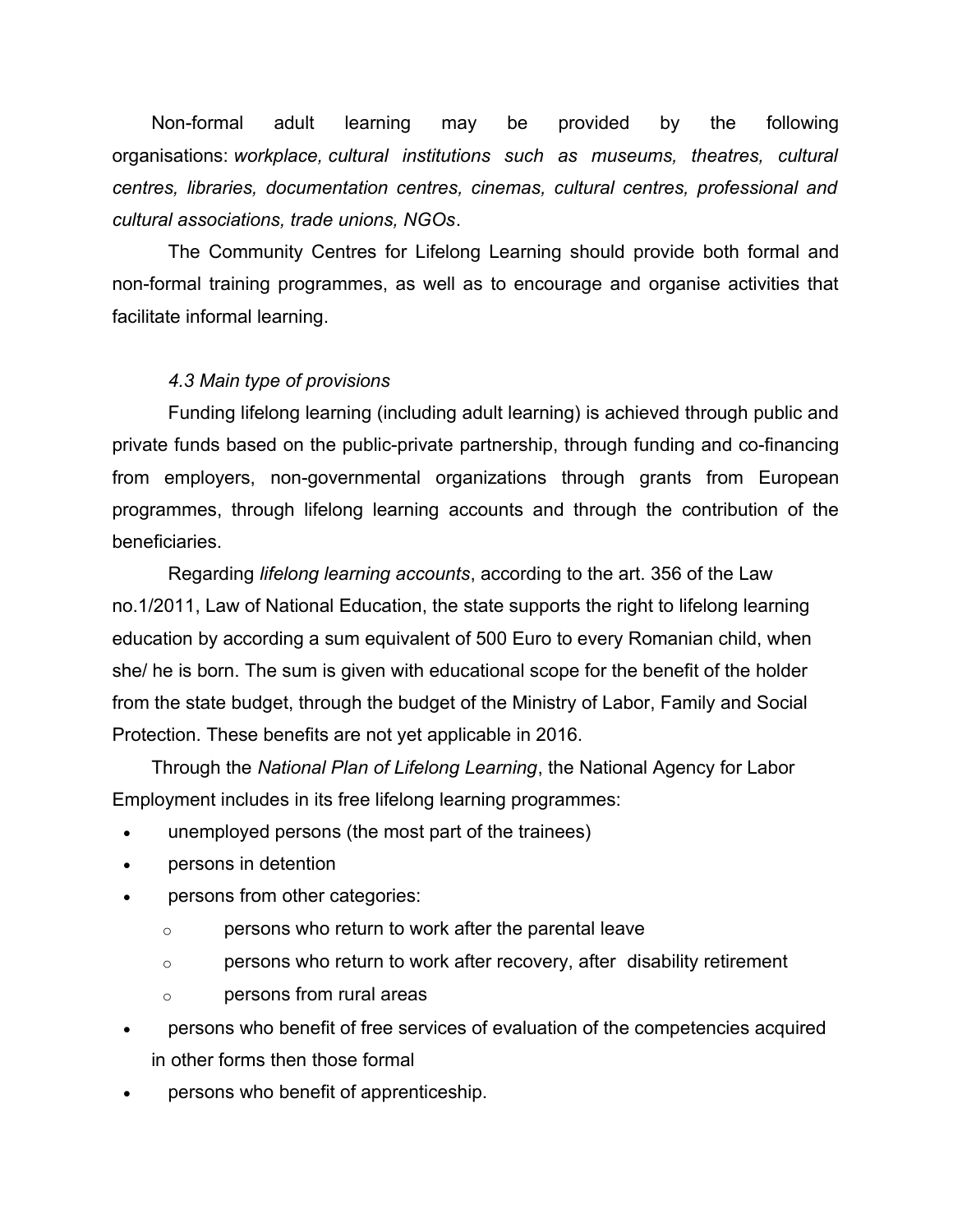Non-formal adult learning may be provided by the following organisations: *workplace, cultural institutions such as museums, theatres, cultural centres, libraries, documentation centres, cinemas, cultural centres, professional and cultural associations, trade unions, NGOs*.

The Community Centres for Lifelong Learning should provide both formal and non-formal training programmes, as well as to encourage and organise activities that facilitate informal learning.

#### *4.3 Main type of provisions*

Funding lifelong learning (including adult learning) is achieved through public and private funds based on the public-private partnership, through funding and co-financing from employers, non-governmental organizations through grants from European programmes, through lifelong learning accounts and through the contribution of the beneficiaries.

Regarding *lifelong learning accounts*, according to the art. 356 of the Law no.1/2011, Law of National Education, the state supports the right to lifelong learning education by according a sum equivalent of 500 Euro to every Romanian child, when she/ he is born. The sum is given with educational scope for the benefit of the holder from the state budget, through the budget of the Ministry of Labor, Family and Social Protection. These benefits are not yet applicable in 2016.

Through the *National Plan of Lifelong Learning*, the National Agency for Labor Employment includes in its free lifelong learning programmes:

- unemployed persons (the most part of the trainees)
- persons in detention
- persons from other categories:
	- o persons who return to work after the parental leave
	- o persons who return to work after recovery, after disability retirement
	- o persons from rural areas
- persons who benefit of free services of evaluation of the competencies acquired in other forms then those formal
- persons who benefit of apprenticeship.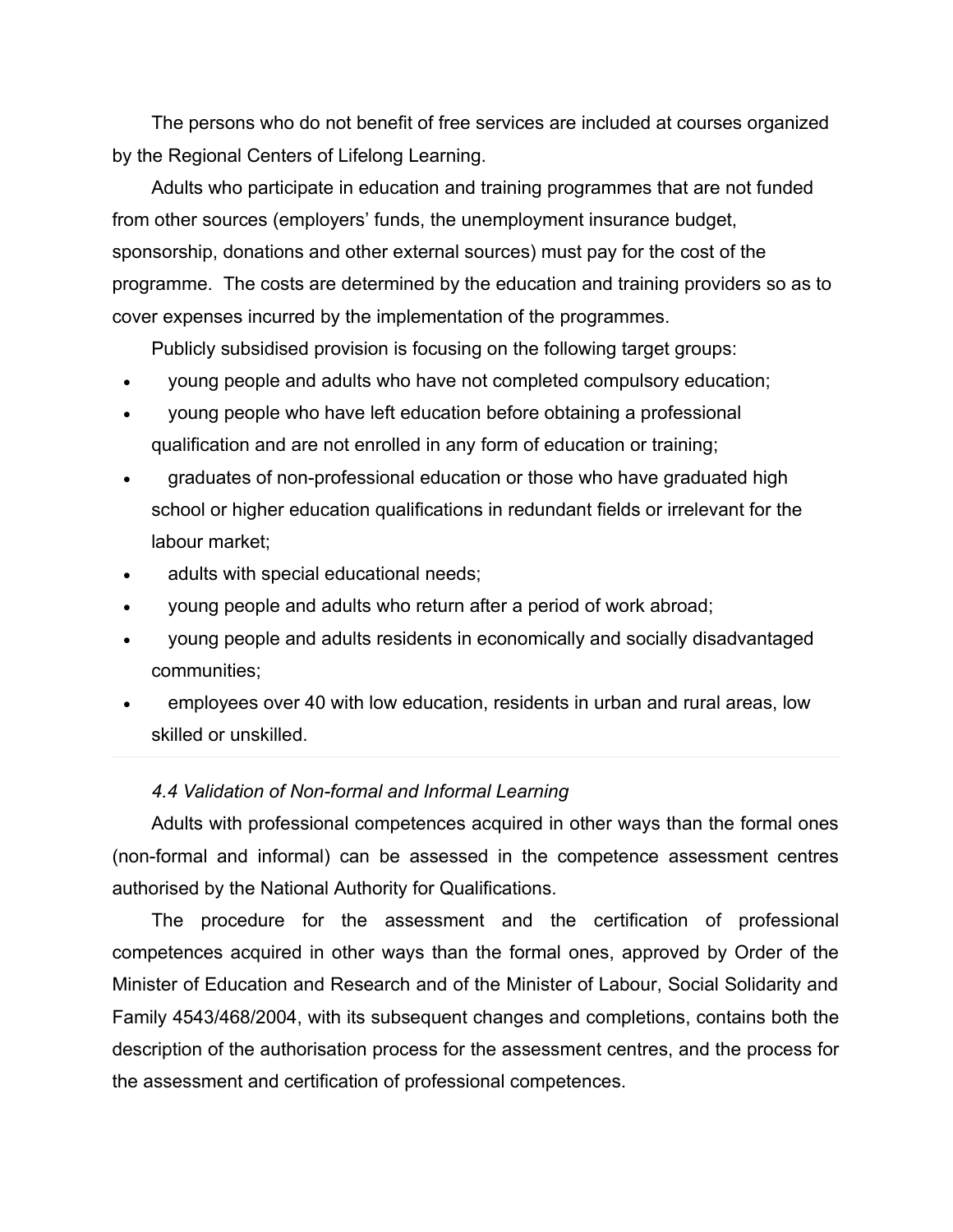The persons who do not benefit of free services are included at courses organized by the Regional Centers of Lifelong Learning.

Adults who participate in education and training programmes that are not funded from other sources (employers' funds, the unemployment insurance budget, sponsorship, donations and other external sources) must pay for the cost of the programme. The costs are determined by the education and training providers so as to cover expenses incurred by the implementation of the programmes.

Publicly subsidised provision is focusing on the following target groups:

- young people and adults who have not completed compulsory education;
- young people who have left education before obtaining a professional qualification and are not enrolled in any form of education or training;
- graduates of non-professional education or those who have graduated high school or higher education qualifications in redundant fields or irrelevant for the labour market;
- adults with special educational needs;
- young people and adults who return after a period of work abroad;
- young people and adults residents in economically and socially disadvantaged communities;
- employees over 40 with low education, residents in urban and rural areas, low skilled or unskilled.

#### *4.4 Validation of Non-formal and Informal Learning*

Adults with professional competences acquired in other ways than the formal ones (non-formal and informal) can be assessed in the competence assessment centres authorised by the National Authority for Qualifications.

The procedure for the assessment and the certification of professional competences acquired in other ways than the formal ones, approved by Order of the Minister of Education and Research and of the Minister of Labour, Social Solidarity and Family 4543/468/2004, with its subsequent changes and completions, contains both the description of the authorisation process for the assessment centres, and the process for the assessment and certification of professional competences.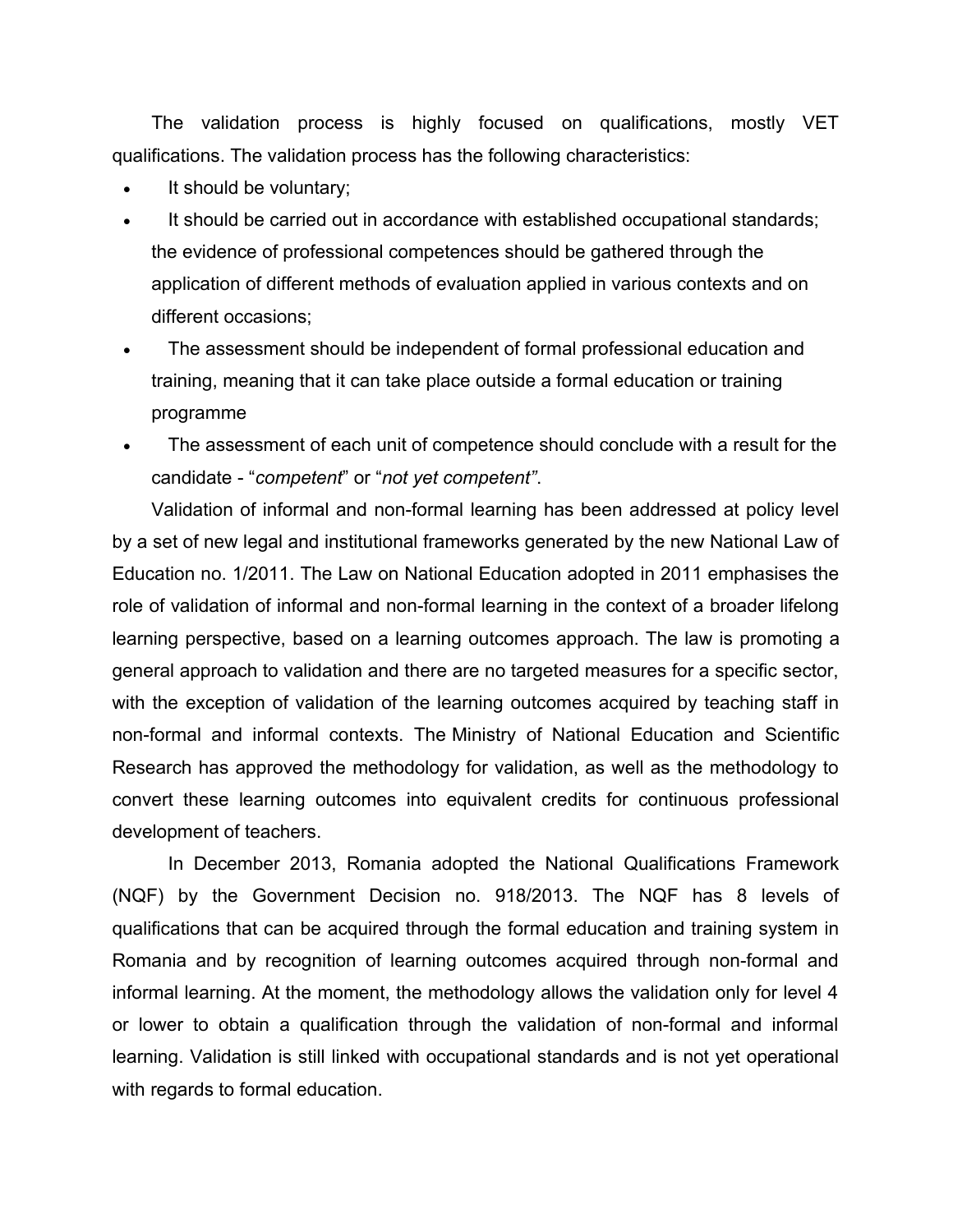The validation process is highly focused on qualifications, mostly VET qualifications. The validation process has the following characteristics:

- It should be voluntary;
- It should be carried out in accordance with established occupational standards; the evidence of professional competences should be gathered through the application of different methods of evaluation applied in various contexts and on different occasions;
- The assessment should be independent of formal professional education and training, meaning that it can take place outside a formal education or training programme
- The assessment of each unit of competence should conclude with a result for the candidate - "*competent*" or "*not yet competent"*.

Validation of informal and non-formal learning has been addressed at policy level by a set of new legal and institutional frameworks generated by the new National Law of Education no. 1/2011. The Law on National Education adopted in 2011 emphasises the role of validation of informal and non-formal learning in the context of a broader lifelong learning perspective, based on a learning outcomes approach. The law is promoting a general approach to validation and there are no targeted measures for a specific sector, with the exception of validation of the learning outcomes acquired by teaching staff in non-formal and informal contexts. The Ministry of National Education and Scientific Research has approved the methodology for validation, as well as the methodology to convert these learning outcomes into equivalent credits for continuous professional development of teachers.

In December 2013, Romania adopted the National Qualifications Framework (NQF) by the Government Decision no. 918/2013. The NQF has 8 levels of qualifications that can be acquired through the formal education and training system in Romania and by recognition of learning outcomes acquired through non-formal and informal learning. At the moment, the methodology allows the validation only for level 4 or lower to obtain a qualification through the validation of non-formal and informal learning. Validation is still linked with occupational standards and is not yet operational with regards to formal education.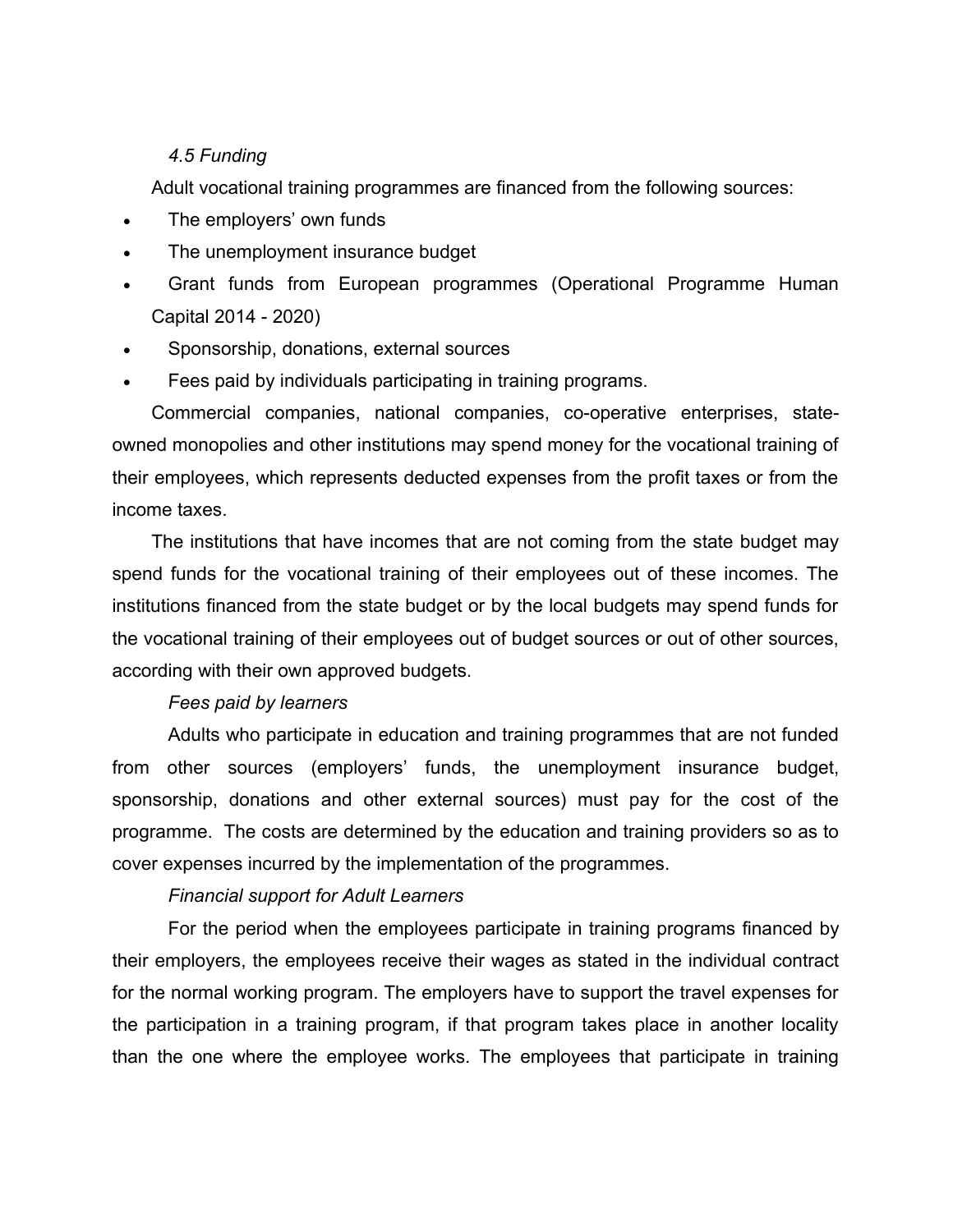#### *4.5 Funding*

Adult vocational training programmes are financed from the following sources:

- The employers' own funds
- The unemployment insurance budget
- Grant funds from European programmes (Operational Programme Human Capital 2014 - 2020)
- Sponsorship, donations, external sources
- Fees paid by individuals participating in training programs.

Commercial companies, national companies, co-operative enterprises, stateowned monopolies and other institutions may spend money for the vocational training of their employees, which represents deducted expenses from the profit taxes or from the income taxes.

The institutions that have incomes that are not coming from the state budget may spend funds for the vocational training of their employees out of these incomes. The institutions financed from the state budget or by the local budgets may spend funds for the vocational training of their employees out of budget sources or out of other sources, according with their own approved budgets.

#### *Fees paid by learners*

Adults who participate in education and training programmes that are not funded from other sources (employers' funds, the unemployment insurance budget, sponsorship, donations and other external sources) must pay for the cost of the programme. The costs are determined by the education and training providers so as to cover expenses incurred by the implementation of the programmes.

#### *Financial support for Adult Learners*

For the period when the employees participate in training programs financed by their employers, the employees receive their wages as stated in the individual contract for the normal working program. The employers have to support the travel expenses for the participation in a training program, if that program takes place in another locality than the one where the employee works. The employees that participate in training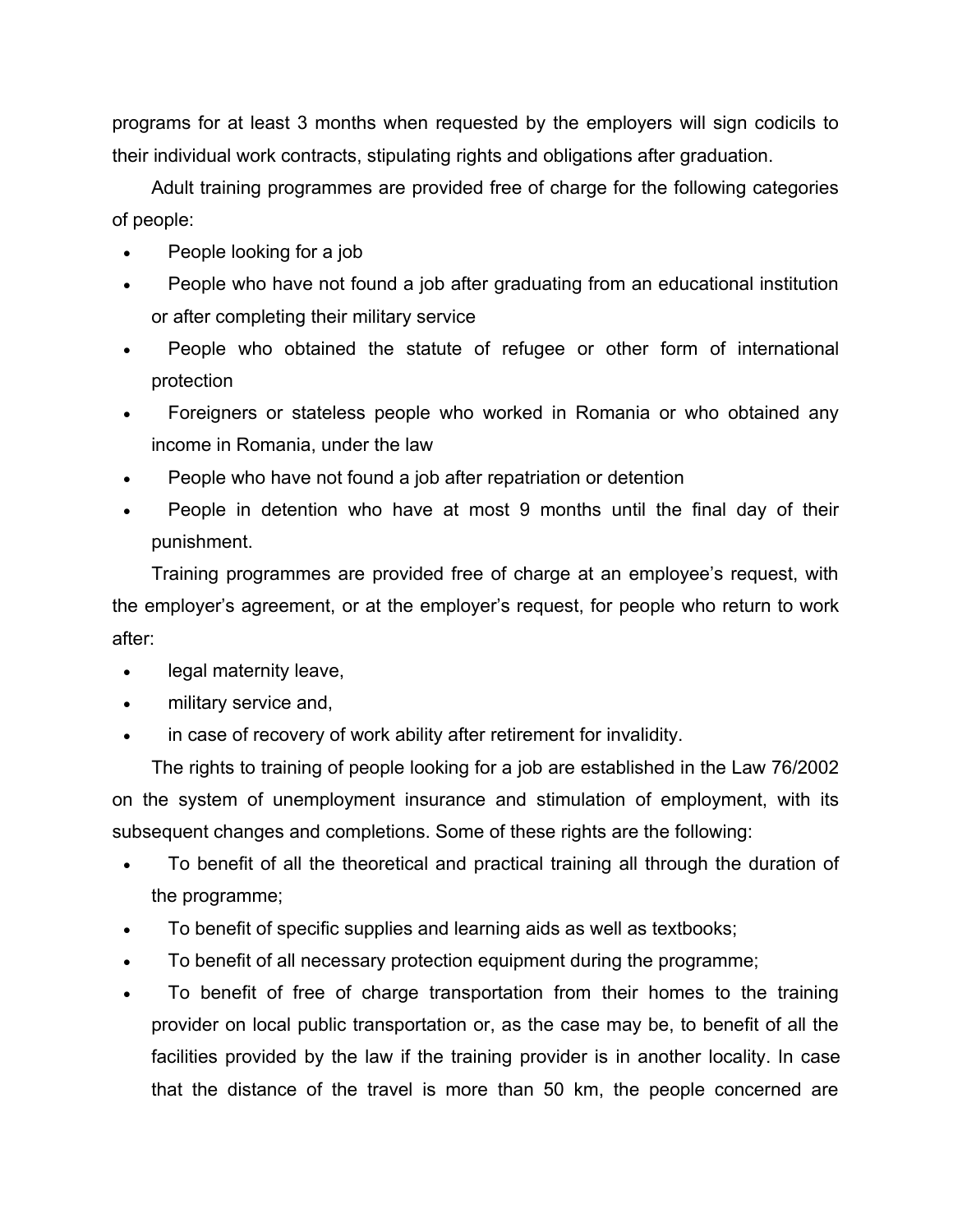programs for at least 3 months when requested by the employers will sign codicils to their individual work contracts, stipulating rights and obligations after graduation.

Adult training programmes are provided free of charge for the following categories of people:

- People looking for a job
- People who have not found a job after graduating from an educational institution or after completing their military service
- People who obtained the statute of refugee or other form of international protection
- Foreigners or stateless people who worked in Romania or who obtained any income in Romania, under the law
- People who have not found a job after repatriation or detention
- People in detention who have at most 9 months until the final day of their punishment.

Training programmes are provided free of charge at an employee's request, with the employer's agreement, or at the employer's request, for people who return to work after:

- legal maternity leave,
- military service and,
- in case of recovery of work ability after retirement for invalidity.

The rights to training of people looking for a job are established in the Law 76/2002 on the system of unemployment insurance and stimulation of employment, with its subsequent changes and completions. Some of these rights are the following:

- To benefit of all the theoretical and practical training all through the duration of the programme;
- To benefit of specific supplies and learning aids as well as textbooks;
- To benefit of all necessary protection equipment during the programme;
- To benefit of free of charge transportation from their homes to the training provider on local public transportation or, as the case may be, to benefit of all the facilities provided by the law if the training provider is in another locality. In case that the distance of the travel is more than 50 km, the people concerned are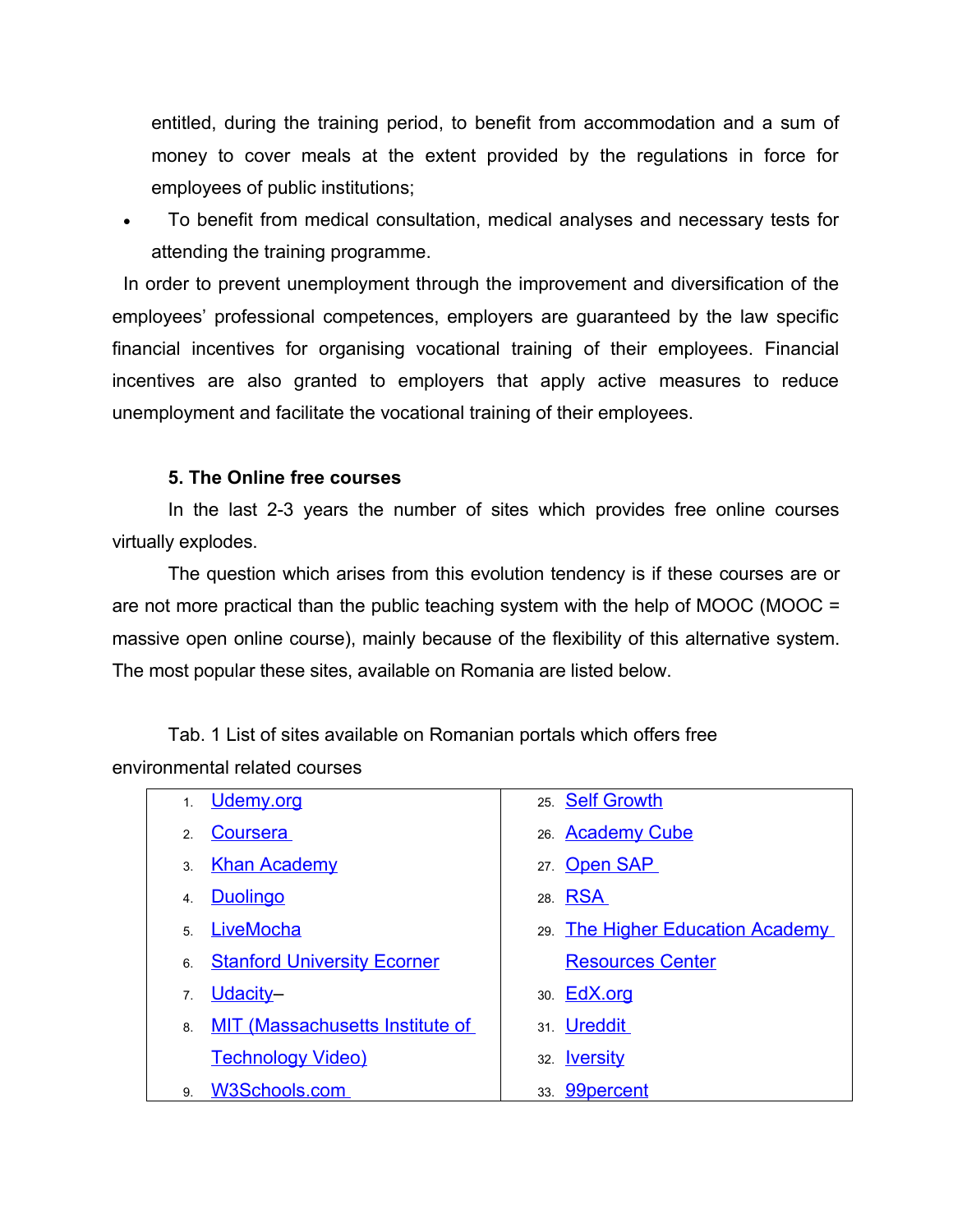entitled, during the training period, to benefit from accommodation and a sum of money to cover meals at the extent provided by the regulations in force for employees of public institutions;

 To benefit from medical consultation, medical analyses and necessary tests for attending the training programme.

In order to prevent unemployment through the improvement and diversification of the employees' professional competences, employers are guaranteed by the law specific financial incentives for organising vocational training of their employees. Financial incentives are also granted to employers that apply active measures to reduce unemployment and facilitate the vocational training of their employees.

#### **5. The Online free courses**

In the last 2-3 years the number of sites which provides free online courses virtually explodes.

The question which arises from this evolution tendency is if these courses are or are not more practical than the public teaching system with the help of MOOC (MOOC = massive open online course), mainly because of the flexibility of this alternative system. The most popular these sites, available on Romania are listed below.

Tab. 1 List of sites available on Romanian portals which offers free environmental related courses

| 1 <sub>1</sub>   | Udemy.org                              | 25. Self Growth                 |
|------------------|----------------------------------------|---------------------------------|
| 2.               | Coursera                               | 26. Academy Cube                |
| 3.               | <b>Khan Academy</b>                    | 27. Open SAP                    |
| $\overline{4}$ . | <b>Duolingo</b>                        | 28. RSA                         |
| $\overline{5}$   | LiveMocha                              | 29 The Higher Education Academy |
| 6                | <b>Stanford University Ecorner</b>     | <b>Resources Center</b>         |
| 7.               | Udacity-                               | 30. <b>EdX.org</b>              |
| 8.               | <b>MIT (Massachusetts Institute of</b> | 31. <b>Ureddit</b>              |
|                  | <b>Technology Video)</b>               | 32. <b>Iversity</b>             |
| 9.               | W3Schools.com                          | 33. <b>99percent</b>            |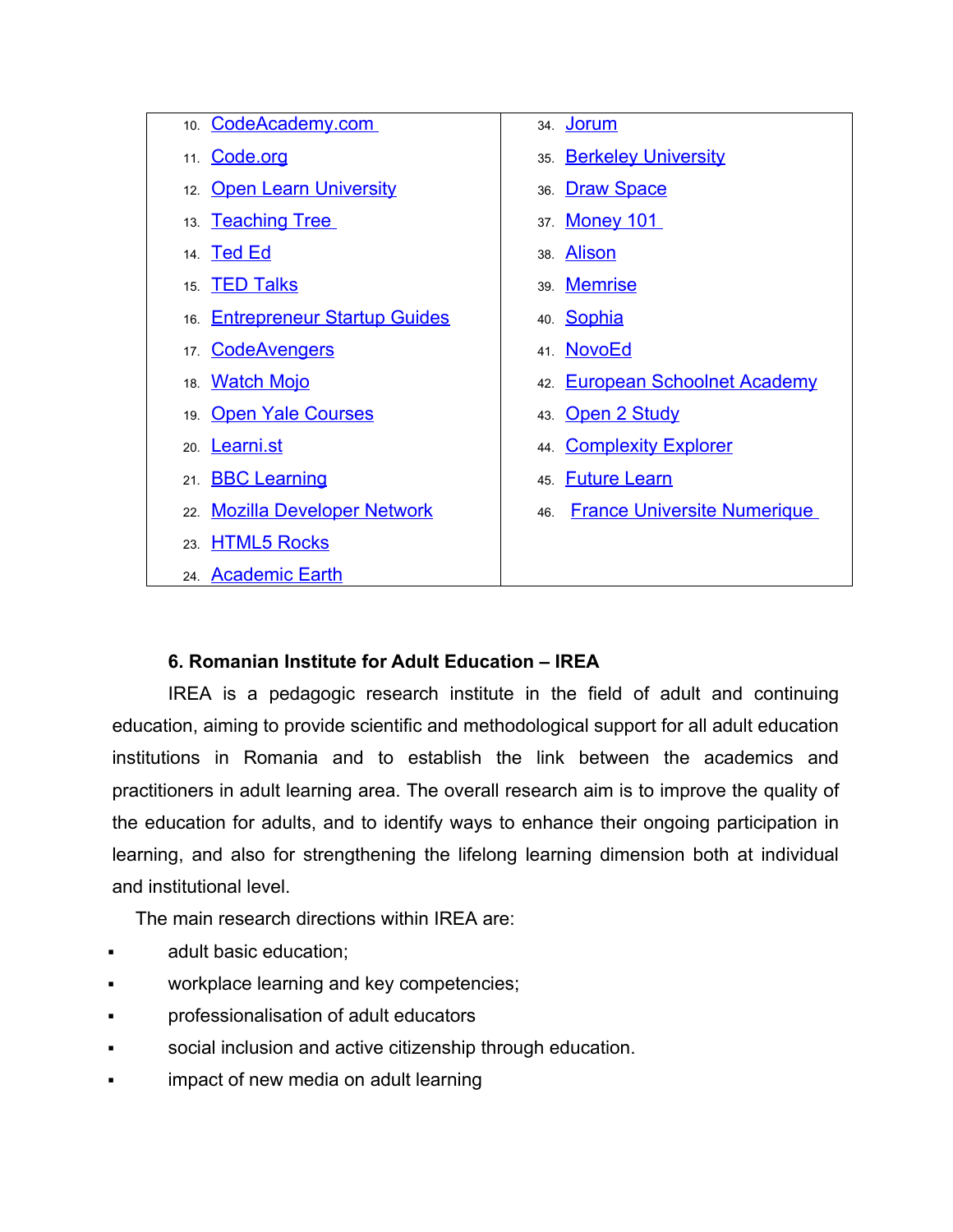| 10. CodeAcademy.com             | 34. <u>Jorum</u>                          |
|---------------------------------|-------------------------------------------|
| 11. Code.org                    | 35. Berkeley University                   |
| 12. Open Learn University       | 36. Draw Space                            |
| 13. <b>Teaching Tree</b>        | 37. Money 101                             |
| 14. <b>Ted Ed</b>               | 38. Alison                                |
| 15. <b>TED Talks</b>            | 39. Memrise                               |
| 16. Entrepreneur Startup Guides | 40. Sophia                                |
| 17. CodeAvengers                | 41. NovoEd                                |
| 18. Watch Mojo                  | 42. European Schoolnet Academy            |
| 19 Open Yale Courses            | 43. Open 2 Study                          |
| 20. Learni.st                   | 44 Complexity Explorer                    |
| 21. <b>BBC Learning</b>         | 45. Future Learn                          |
| 22. Mozilla Developer Network   | <b>France Universite Numerique</b><br>46. |
| 23. HTML5 Rocks                 |                                           |
| 24. Academic Earth              |                                           |

# **6. Romanian Institute for Adult Education – IREA**

IREA is a pedagogic research institute in the field of adult and continuing education, aiming to provide scientific and methodological support for all adult education institutions in Romania and to establish the link between the academics and practitioners in adult learning area. The overall research aim is to improve the quality of the education for adults, and to identify ways to enhance their ongoing participation in learning, and also for strengthening the lifelong learning dimension both at individual and institutional level.

The main research directions within IREA are:

- adult basic education;
- workplace learning and key competencies;
- professionalisation of adult educators
- social inclusion and active citizenship through education.
- impact of new media on adult learning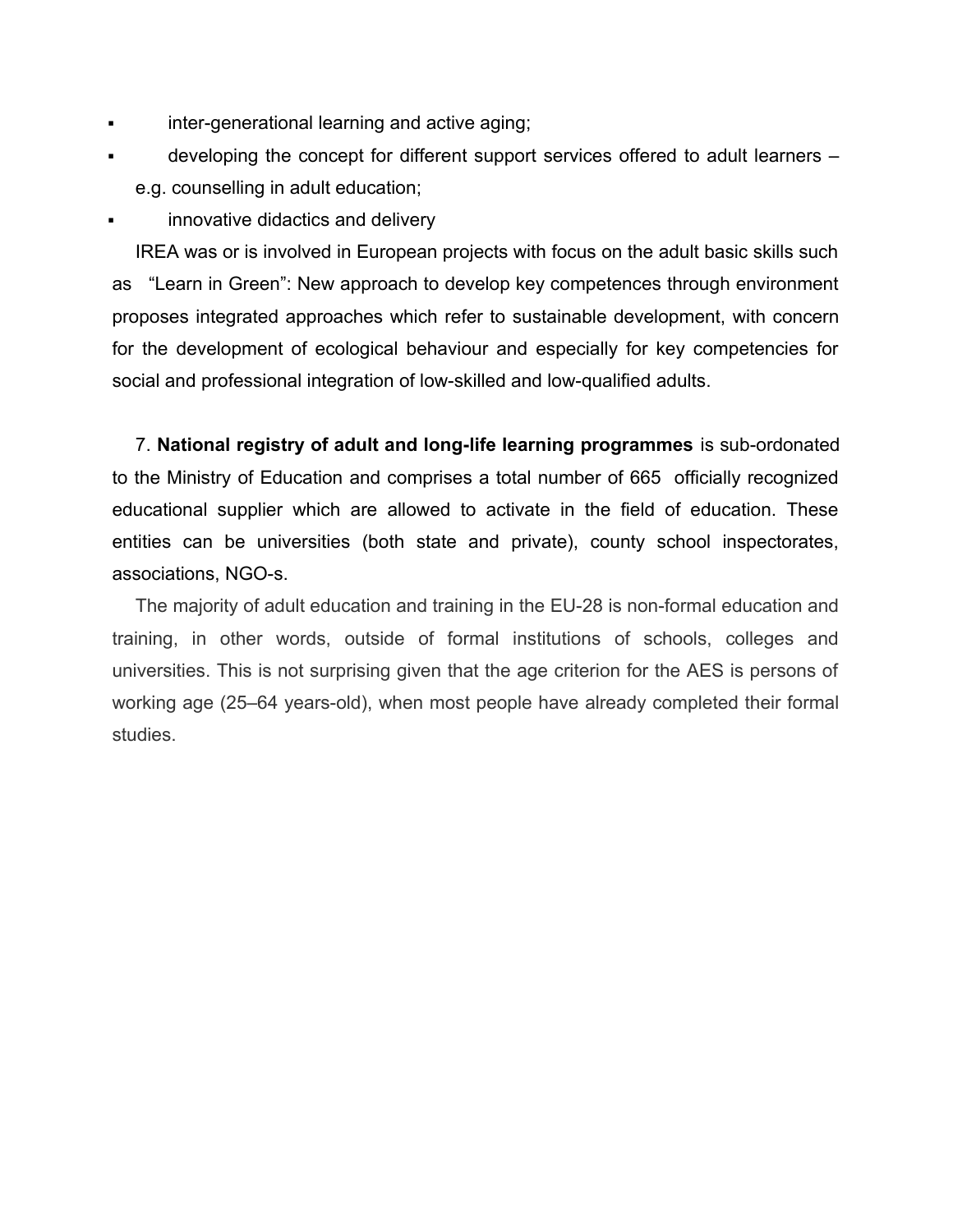- inter-generational learning and active aging;
- developing the concept for different support services offered to adult learners e.g. counselling in adult education;

**Example 1** innovative didactics and delivery

IREA was or is involved in European projects with focus on the adult basic skills such as "Learn in Green": New approach to develop key competences through environment proposes integrated approaches which refer to sustainable development, with concern for the development of ecological behaviour and especially for key competencies for social and professional integration of low-skilled and low-qualified adults.

7. **National registry of adult and long-life learning programmes** is sub-ordonated to the Ministry of Education and comprises a total number of 665 officially recognized educational supplier which are allowed to activate in the field of education. These entities can be universities (both state and private), county school inspectorates, associations, NGO-s.

The majority of adult education and training in the EU-28 is non-formal education and training, in other words, outside of formal institutions of schools, colleges and universities. This is not surprising given that the age criterion for the AES is persons of working age (25–64 years-old), when most people have already completed their formal studies.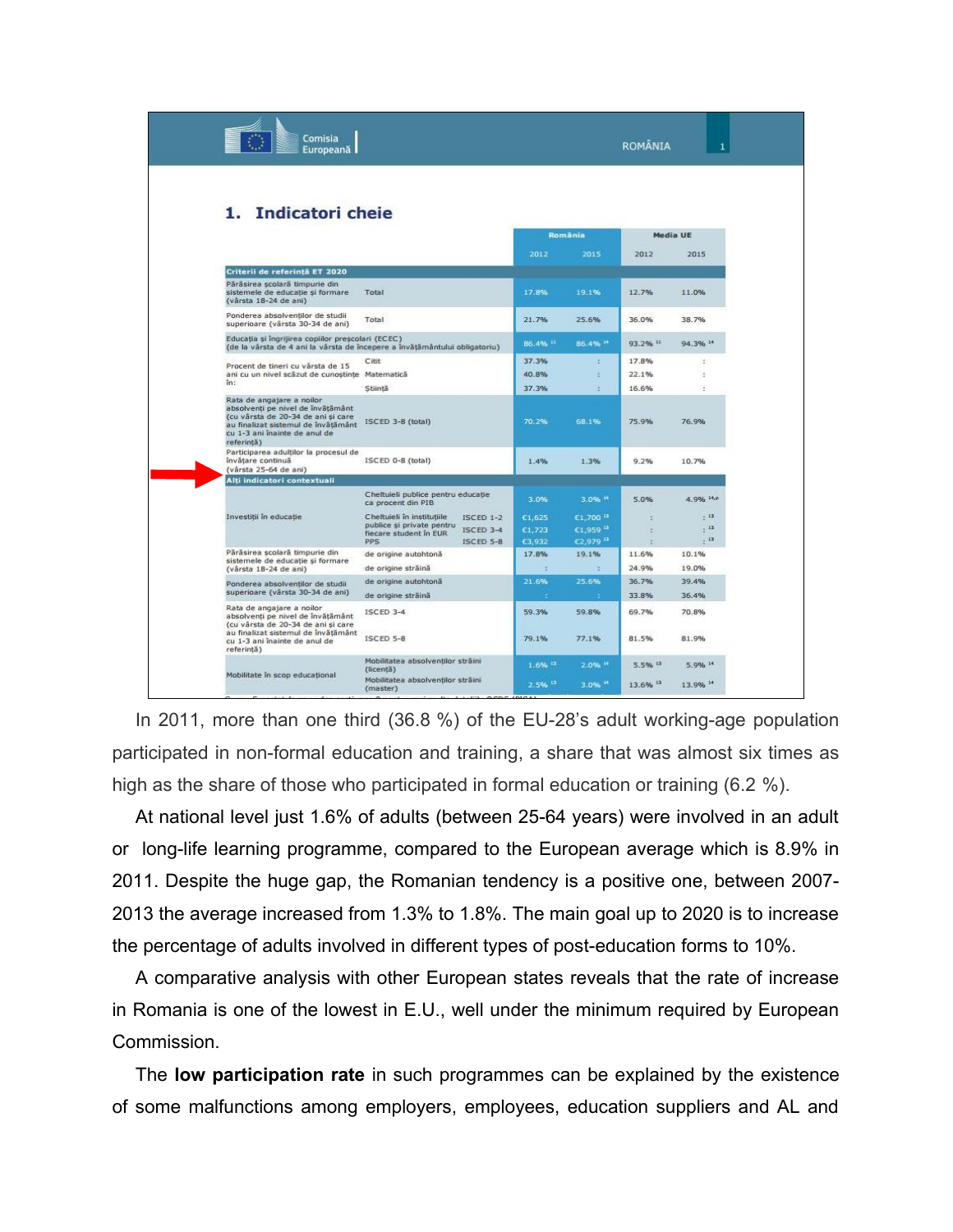| Comisia<br>Europeană                                                                                                                                                                       |                                                                            |                      |                       | <b>ROMÂNIA</b> |              |
|--------------------------------------------------------------------------------------------------------------------------------------------------------------------------------------------|----------------------------------------------------------------------------|----------------------|-----------------------|----------------|--------------|
| 1. Indicatori cheie                                                                                                                                                                        |                                                                            |                      | România               |                | Media UE     |
|                                                                                                                                                                                            |                                                                            |                      |                       |                |              |
|                                                                                                                                                                                            |                                                                            | 2012                 | 2015                  | 2012           | 2015         |
| Criterii de referintă ET 2020                                                                                                                                                              |                                                                            |                      |                       |                |              |
| Părăsirea școlară timpurie din<br>sistemele de educație și formare<br>(vârsta 18-24 de ani)                                                                                                | Total                                                                      | 17.8%                | 19.1%                 | 12.7%          | 11.0%        |
| Ponderea absolventilor de studii.<br>superioare (vârsta 30-34 de ani)                                                                                                                      | Total                                                                      | 21.7%                | 25.6%                 | 36.0%          | 38.7%        |
| Educația și îngrijirea copiilor preșcolari (ECEC)                                                                                                                                          | (de la vârsta de 4 ani la vârsta de începere a învătământului obligatoriu) | 86.4% 11             | 86.4% 14              | 93.2% 11       | 94.3% 14     |
| Procent de tineri cu vârsta de 15                                                                                                                                                          | Citit                                                                      | 37.3%                | э.                    | 17.8%          | ×            |
| ani cu un nivel scăzut de cunostințe Matematică<br>in:                                                                                                                                     |                                                                            | 40.8%                | ×.                    | 22.1%          | ×            |
|                                                                                                                                                                                            | Stiintă                                                                    | 37.3%                | z.                    | 16.6%          | ×            |
| Rata de angajare a noilor<br>absolventi pe nivel de învățământ<br>(cu vârsta de 20-34 de ani si care<br>au finalizat sistemul de învătământ<br>cu 1-3 ani înainte de anul de<br>referință) | ISCED 3-8 (total)                                                          | 70.2%                | 68.1%                 | 75.9%          | 76.9%        |
| Participarea adultilor la procesul de<br>învătare continuă<br>(vársta 25-64 de ani)                                                                                                        | ISCED 0-8 (total)                                                          | 1.4%                 | 1.3%                  | 9.2%           | 10.7%        |
| Alti indicatori contextuali                                                                                                                                                                |                                                                            |                      |                       |                |              |
|                                                                                                                                                                                            | Cheltuieli publice pentru educație<br>ca procent din PIB                   | 3.0%                 | $3.0%$ *              | 5.0%           | 4.9% H.P     |
| Investiții în educație                                                                                                                                                                     | Cheltuieli în instituțiile<br>ISCED 1-2<br>publice și private pentru       | C1,625               | $E1,700^{13}$         | ×              | $\pm$ 13     |
|                                                                                                                                                                                            | <b>ISCED 3-4</b><br>fiecare student in EUR                                 | €1,723               | E1,959 13<br>£2,979 H |                | , 11<br>, 13 |
| Părăsirea scolară timpurie din                                                                                                                                                             | PPS<br>ISCED 5-8<br>de origine autohtonă                                   | €3,932<br>17.8%      | 19.1%                 | ¥<br>11.6%     | 10.1%        |
| sistemele de educație și formare                                                                                                                                                           | de origine străină                                                         | ÷                    | $\mathbb{R}^2$        | 24.9%          | 19.0%        |
| (vårsta 18-24 de ani)                                                                                                                                                                      | de origine autohtonă                                                       | 21.6%                | 25.6%                 | 36.7%          | 39.4%        |
| Ponderea absolventilor de studii<br>superioare (vârsta 30-34 de ani)                                                                                                                       | de origine străină                                                         |                      |                       | 33.8%          | 36.4%        |
| Rata de angajare a noilor<br>absolvenți pe nivel de învățământ<br>(cu vârsta de 20-34 de ani si care                                                                                       | <b>ISCED 3-4</b>                                                           | 59.3%                | 59.8%                 | 69.7%          | 70.8%        |
| au finalizat sistemul de învățământ<br>cu 1-3 ani înainte de anul de<br>referință)                                                                                                         | ISCED 5-8                                                                  | 79.1%                | 77.1%                 | 81.5%          | 81.9%        |
| Mobilitate in scop educational                                                                                                                                                             | Mobilitatea absolventilor străini<br>(licentă)                             | $1.6%$ <sup>11</sup> | 2.0% **               | $5.5%$ $^{13}$ | 5.9% 14      |
|                                                                                                                                                                                            | Mobilitatea absolventilor străini<br>(master)                              | $2.5%$ <sup>11</sup> | $3.0%$ <sup>14</sup>  | 13.6% 11       | 13.9% 14     |

In 2011, more than one third (36.8 %) of the EU-28's adult working-age population participated in non-formal education and training, a share that was almost six times as high as the share of those who participated in formal education or training (6.2 %).

At national level just 1.6% of adults (between 25-64 years) were involved in an adult or long-life learning programme, compared to the European average which is 8.9% in 2011. Despite the huge gap, the Romanian tendency is a positive one, between 2007- 2013 the average increased from 1.3% to 1.8%. The main goal up to 2020 is to increase the percentage of adults involved in different types of post-education forms to 10%.

A comparative analysis with other European states reveals that the rate of increase in Romania is one of the lowest in E.U., well under the minimum required by European Commission.

The **low participation rate** in such programmes can be explained by the existence of some malfunctions among employers, employees, education suppliers and AL and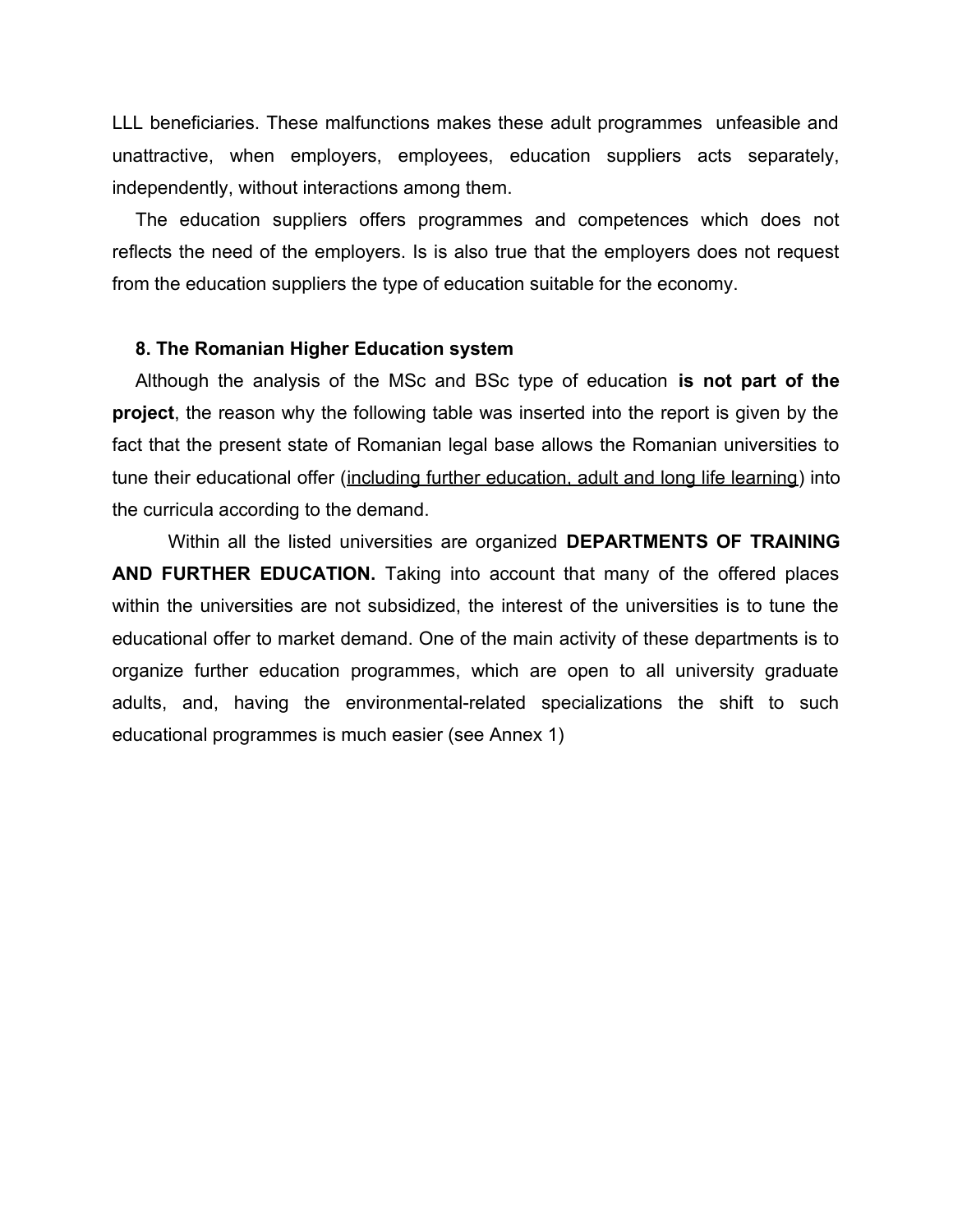LLL beneficiaries. These malfunctions makes these adult programmes unfeasible and unattractive, when employers, employees, education suppliers acts separately, independently, without interactions among them.

The education suppliers offers programmes and competences which does not reflects the need of the employers. Is is also true that the employers does not request from the education suppliers the type of education suitable for the economy.

#### **8. The Romanian Higher Education system**

Although the analysis of the MSc and BSc type of education **is not part of the project**, the reason why the following table was inserted into the report is given by the fact that the present state of Romanian legal base allows the Romanian universities to tune their educational offer (including further education, adult and long life learning) into the curricula according to the demand.

Within all the listed universities are organized **DEPARTMENTS OF TRAINING AND FURTHER EDUCATION.** Taking into account that many of the offered places within the universities are not subsidized, the interest of the universities is to tune the educational offer to market demand. One of the main activity of these departments is to organize further education programmes, which are open to all university graduate adults, and, having the environmental-related specializations the shift to such educational programmes is much easier (see Annex 1)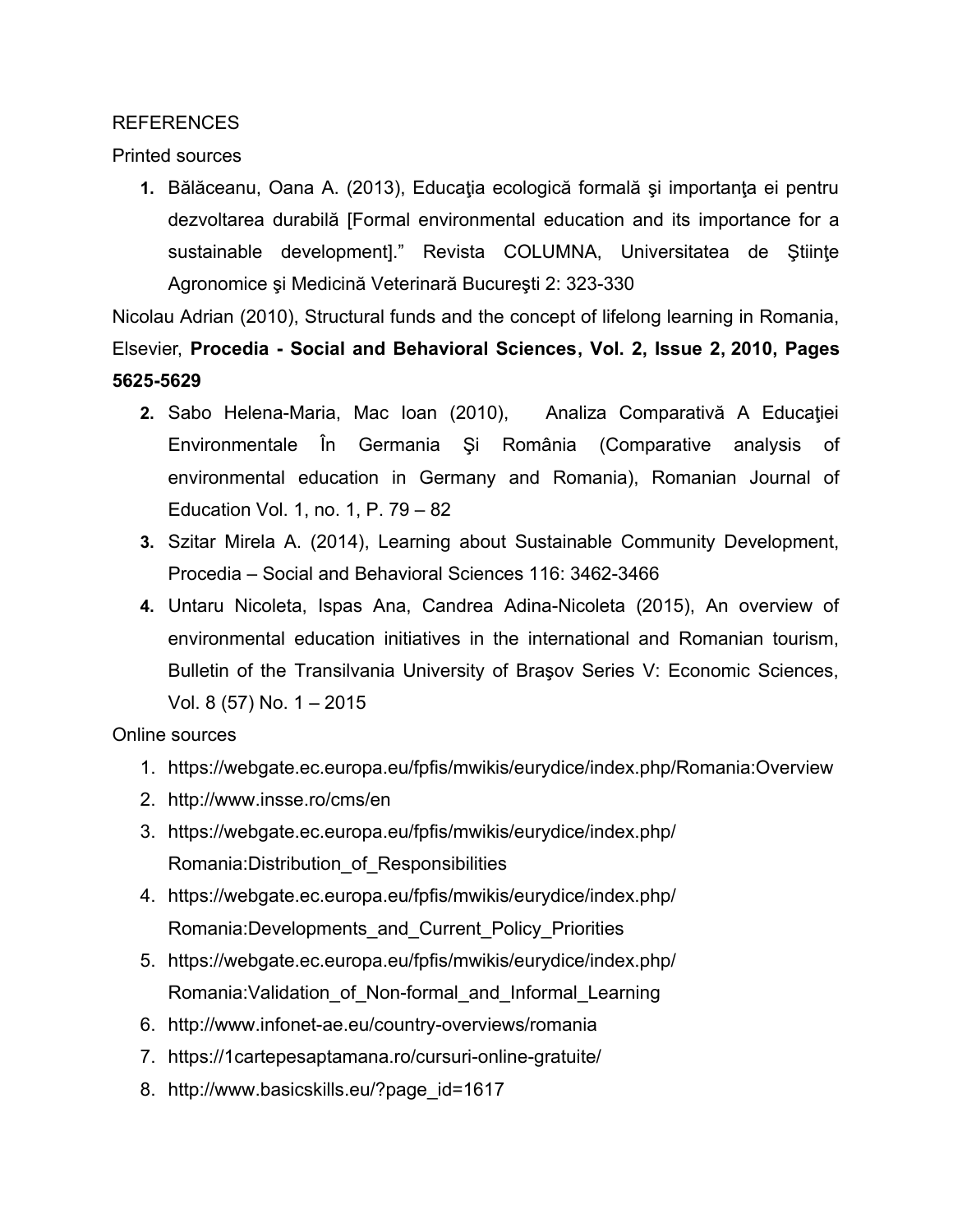#### REFERENCES

Printed sources

**1.** Bălăceanu, Oana A. (2013), Educaţia ecologică formală şi importanţa ei pentru dezvoltarea durabilă [Formal environmental education and its importance for a sustainable development]." Revista COLUMNA, Universitatea de Ştiinţe Agronomice şi Medicină Veterinară Bucureşti 2: 323-330

Nicolau Adrian (2010), Structural funds and the concept of lifelong learning in Romania, Elsevier, **[Procedia - Social and Behavioral Sciences,](http://www.sciencedirect.com/science/journal/18770428) [Vol. 2, Issue 2,](http://www.sciencedirect.com/science/journal/18770428/2/2) 2010, Pages 5625-5629**

- **2.** Sabo Helena-Maria, Mac Ioan (2010), Analiza Comparativă A Educaţiei Environmentale În Germania Şi România (Comparative analysis of environmental education in Germany and Romania), Romanian Journal of Education Vol. 1, no. 1, P. 79 – 82
- **3.** Szitar Mirela A. (2014), Learning about Sustainable Community Development, Procedia – Social and Behavioral Sciences 116: 3462-3466
- **4.** Untaru Nicoleta, Ispas Ana, Candrea Adina-Nicoleta (2015), An overview of environmental education initiatives in the international and Romanian tourism, Bulletin of the Transilvania University of Braşov Series V: Economic Sciences, Vol. 8 (57) No. 1 – 2015

Online sources

- 1. https://webgate.ec.europa.eu/fpfis/mwikis/eurydice/index.php/Romania:Overview
- 2. http://www.insse.ro/cms/en
- 3. https://webgate.ec.europa.eu/fpfis/mwikis/eurydice/index.php/ Romania:Distribution\_of\_Responsibilities
- 4. https://webgate.ec.europa.eu/fpfis/mwikis/eurydice/index.php/ Romania:Developments\_and\_Current\_Policy\_Priorities
- 5. https://webgate.ec.europa.eu/fpfis/mwikis/eurydice/index.php/ Romania: Validation of Non-formal and Informal Learning
- 6. http://www.infonet-ae.eu/country-overviews/romania
- 7. https://1cartepesaptamana.ro/cursuri-online-gratuite/
- 8. http://www.basicskills.eu/?page\_id=1617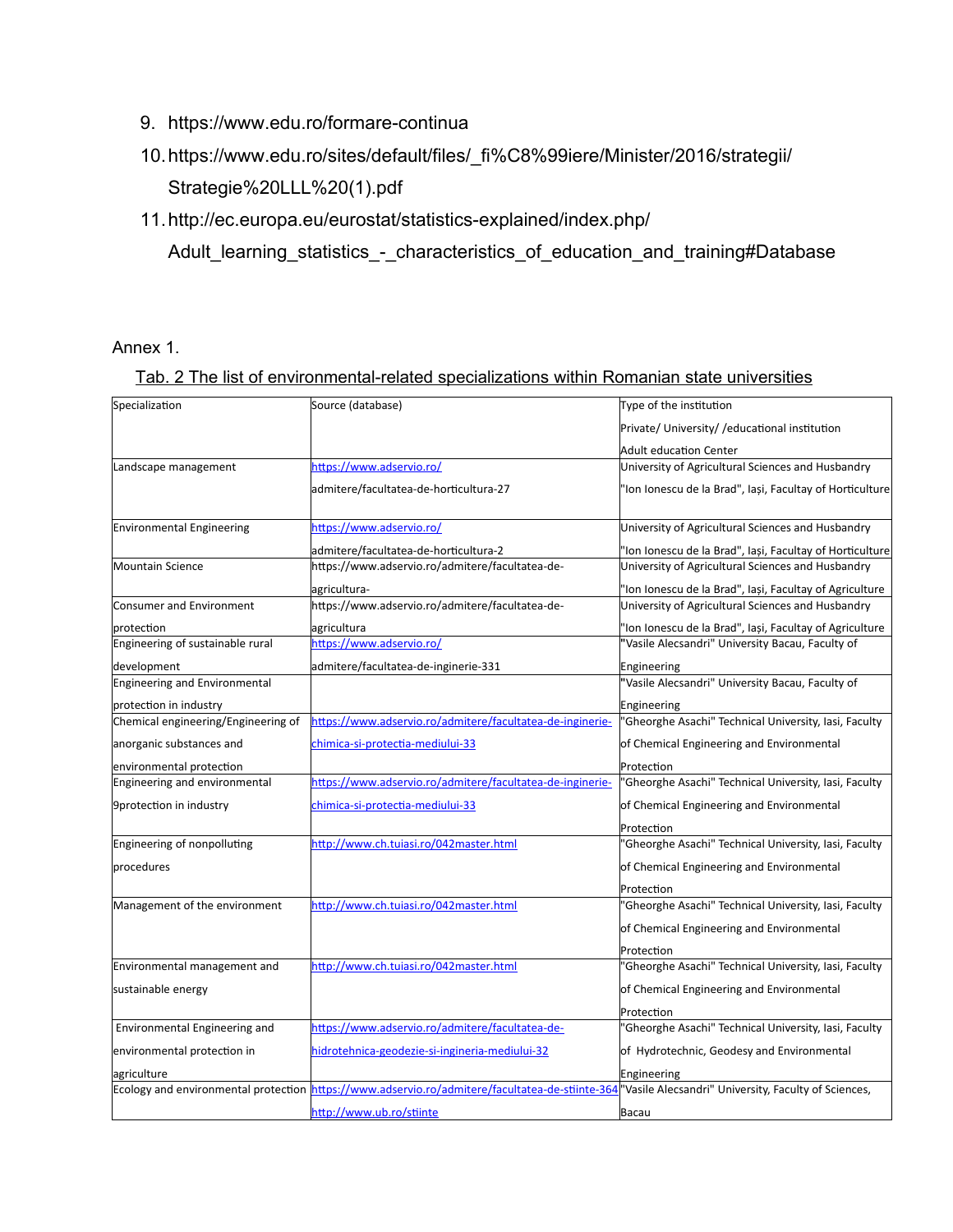- 9. https://www.edu.ro/formare-continua
- 10.https://www.edu.ro/sites/default/files/\_fi%C8%99iere/Minister/2016/strategii/ Strategie%20LLL%20(1).pdf

### 11.http://ec.europa.eu/eurostat/statistics-explained/index.php/

Adult\_learning\_statistics\_-\_characteristics\_of\_education\_and\_training#Database

#### Annex 1.

#### Tab. 2 The list of environmental-related specializations within Romanian state universities

| Specialization                                 | Source (database)                                                                               | Type of the institution                                                                                     |
|------------------------------------------------|-------------------------------------------------------------------------------------------------|-------------------------------------------------------------------------------------------------------------|
|                                                |                                                                                                 | Private/ University/ / educational institution                                                              |
|                                                |                                                                                                 | <b>Adult education Center</b>                                                                               |
| Landscape management                           | https://www.adservio.ro/                                                                        | University of Agricultural Sciences and Husbandry                                                           |
|                                                | admitere/facultatea-de-horticultura-27                                                          | 'Ion Ionescu de la Brad", Iași, Facultay of Horticulture                                                    |
| <b>Environmental Engineering</b>               | https://www.adservio.ro/                                                                        | University of Agricultural Sciences and Husbandry                                                           |
|                                                | admitere/facultatea-de-horticultura-2                                                           | 'Ion Ionescu de la Brad", Iași, Facultay of Horticulture                                                    |
| Mountain Science                               | https://www.adservio.ro/admitere/facultatea-de-                                                 | University of Agricultural Sciences and Husbandry                                                           |
|                                                | agricultura-                                                                                    | 'Ion Ionescu de la Brad", Iași, Facultay of Agriculture                                                     |
| Consumer and Environment                       | https://www.adservio.ro/admitere/facultatea-de-                                                 | University of Agricultural Sciences and Husbandry                                                           |
|                                                |                                                                                                 |                                                                                                             |
| protection<br>Engineering of sustainable rural | agricultura<br>https://www.adservio.ro/                                                         | 'Ion Ionescu de la Brad", Iași, Facultay of Agriculture<br>"Vasile Alecsandri" University Bacau, Faculty of |
|                                                |                                                                                                 |                                                                                                             |
| development                                    | admitere/facultatea-de-inginerie-331                                                            | Engineering<br>"Vasile Alecsandri" University Bacau, Faculty of                                             |
| Engineering and Environmental                  |                                                                                                 |                                                                                                             |
| protection in industry                         |                                                                                                 | Engineering                                                                                                 |
| Chemical engineering/Engineering of            | https://www.adservio.ro/admitere/facultatea-de-inginerie-                                       | 'Gheorghe Asachi" Technical University, Iasi, Faculty                                                       |
| anorganic substances and                       | chimica-si-protectia-mediului-33                                                                | of Chemical Engineering and Environmental                                                                   |
| environmental protection                       |                                                                                                 | Protection                                                                                                  |
| Engineering and environmental                  | https://www.adservio.ro/admitere/facultatea-de-inginerie-                                       | 'Gheorghe Asachi" Technical University, Iasi, Faculty                                                       |
| 9protection in industry                        | chimica-si-protectia-mediului-33                                                                | of Chemical Engineering and Environmental                                                                   |
|                                                |                                                                                                 | Protection                                                                                                  |
| Engineering of nonpolluting                    | http://www.ch.tuiasi.ro/042master.html                                                          | 'Gheorghe Asachi" Technical University, Iasi, Faculty                                                       |
| procedures                                     |                                                                                                 | of Chemical Engineering and Environmental                                                                   |
|                                                |                                                                                                 | Protection                                                                                                  |
| Management of the environment                  | http://www.ch.tuiasi.ro/042master.html                                                          | 'Gheorghe Asachi" Technical University, Iasi, Faculty                                                       |
|                                                |                                                                                                 | of Chemical Engineering and Environmental                                                                   |
|                                                |                                                                                                 | Protection                                                                                                  |
| Environmental management and                   | http://www.ch.tuiasi.ro/042master.html                                                          | 'Gheorghe Asachi" Technical University, Iasi, Faculty                                                       |
| sustainable energy                             |                                                                                                 | of Chemical Engineering and Environmental                                                                   |
|                                                |                                                                                                 | Protection                                                                                                  |
| Environmental Engineering and                  | https://www.adservio.ro/admitere/facultatea-de-                                                 | 'Gheorghe Asachi" Technical University, Iasi, Faculty                                                       |
| environmental protection in                    | hidrotehnica-geodezie-si-ingineria-mediului-32                                                  | of Hydrotechnic, Geodesy and Environmental                                                                  |
| agriculture                                    |                                                                                                 | Engineering                                                                                                 |
|                                                | Ecology and environmental protection https://www.adservio.ro/admitere/facultatea-de-stiinte-364 | 'Vasile Alecsandri" University, Faculty of Sciences,                                                        |
|                                                | http://www.ub.ro/stiinte                                                                        | Bacau                                                                                                       |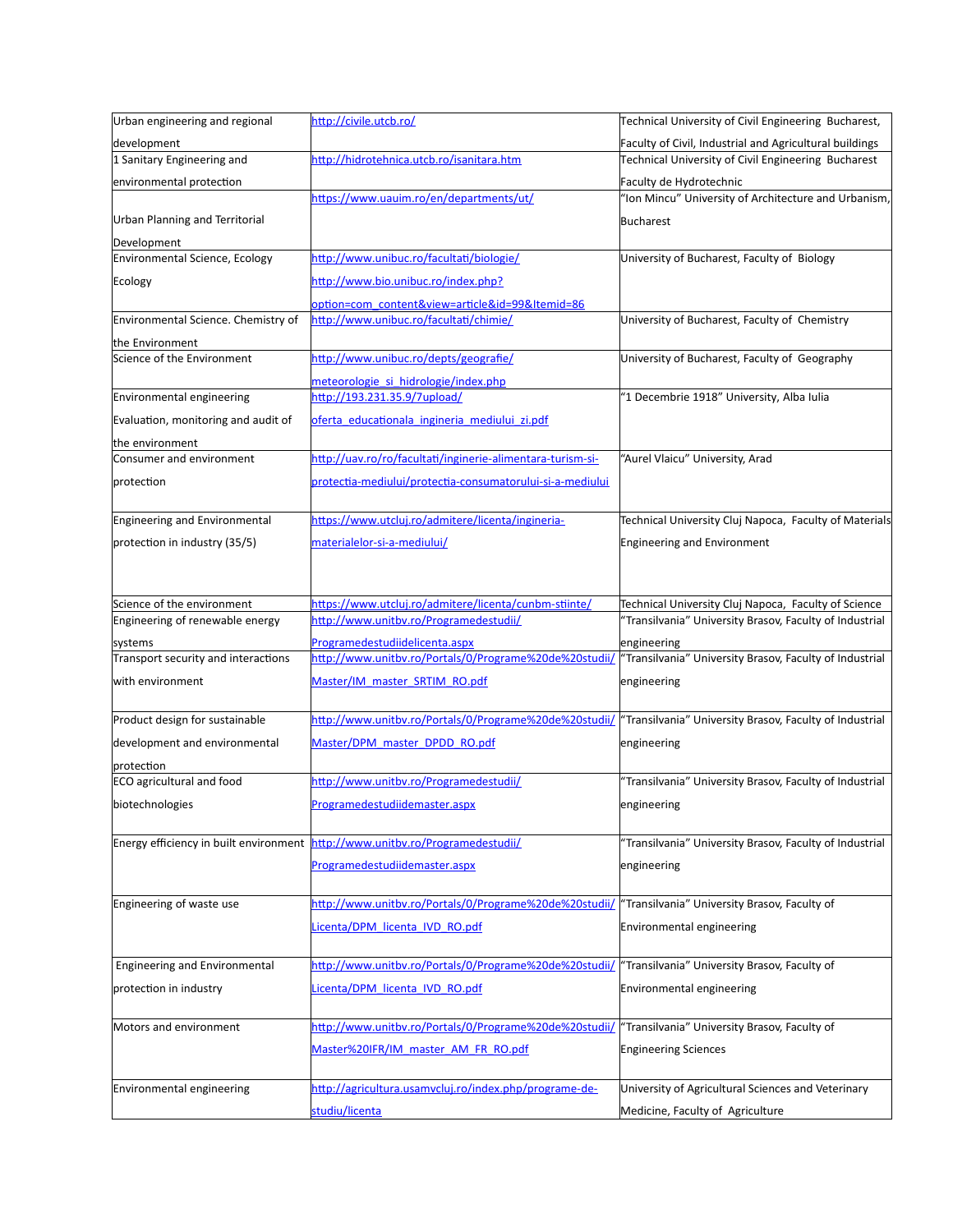| Urban engineering and regional                 | http://civile.utcb.ro/                                     | Technical University of Civil Engineering Bucharest,    |
|------------------------------------------------|------------------------------------------------------------|---------------------------------------------------------|
| development                                    |                                                            | Faculty of Civil, Industrial and Agricultural buildings |
| 1 Sanitary Engineering and                     | http://hidrotehnica.utcb.ro/isanitara.htm                  | Technical University of Civil Engineering Bucharest     |
| environmental protection                       |                                                            | Faculty de Hydrotechnic                                 |
|                                                | https://www.uauim.ro/en/departments/ut/                    | "Ion Mincu" University of Architecture and Urbanism,    |
| <b>Urban Planning and Territorial</b>          |                                                            | <b>Bucharest</b>                                        |
| Development                                    |                                                            |                                                         |
| Environmental Science, Ecology                 | http://www.unibuc.ro/facultati/biologie/                   | University of Bucharest, Faculty of Biology             |
| Ecology                                        | http://www.bio.unibuc.ro/index.php?                        |                                                         |
|                                                | option=com content&view=article&id=99&Itemid=86            |                                                         |
| Environmental Science. Chemistry of            | http://www.unibuc.ro/facultati/chimie/                     | University of Bucharest, Faculty of Chemistry           |
| the Environment                                |                                                            |                                                         |
| Science of the Environment                     | http://www.unibuc.ro/depts/geografie/                      | University of Bucharest, Faculty of Geography           |
|                                                | meteorologie si hidrologie/index.php                       |                                                         |
| Environmental engineering                      | http://193.231.35.9/7upload/                               | "1 Decembrie 1918" University, Alba Iulia               |
| Evaluation, monitoring and audit of            | oferta educationala ingineria mediului zi.pdf              |                                                         |
| the environment                                |                                                            |                                                         |
| Consumer and environment                       | http://uav.ro/ro/facultati/inginerie-alimentara-turism-si- | "Aurel Vlaicu" University, Arad                         |
| protection                                     | protectia-mediului/protectia-consumatorului-si-a-mediului  |                                                         |
|                                                |                                                            |                                                         |
| Engineering and Environmental                  | https://www.utcluj.ro/admitere/licenta/ingineria-          | Technical University Cluj Napoca, Faculty of Materials  |
| protection in industry (35/5)                  | materialelor-si-a-mediului/                                | <b>Engineering and Environment</b>                      |
|                                                |                                                            |                                                         |
|                                                |                                                            |                                                         |
| Science of the environment                     | https://www.utcluj.ro/admitere/licenta/cunbm-stiinte/      | Technical University Cluj Napoca, Faculty of Science    |
| Engineering of renewable energy                | http://www.unitbv.ro/Programedestudii/                     | "Transilvania" University Brasov, Faculty of Industrial |
| systems                                        | Programedestudiidelicenta.aspx                             | engineering                                             |
| Transport security and interactions            | http://www.unitbv.ro/Portals/0/Programe%20de%20studii/     | "Transilvania" University Brasov, Faculty of Industrial |
| with environment                               | Master/IM master SRTIM RO.pdf                              | engineering                                             |
|                                                |                                                            |                                                         |
| Product design for sustainable                 | http://www.unitbv.ro/Portals/0/Programe%20de%20studii/     | "Transilvania" University Brasov, Faculty of Industrial |
| development and environmental                  | Master/DPM master DPDD RO.pdf                              | engineering                                             |
|                                                |                                                            |                                                         |
| protection<br><b>ECO</b> agricultural and food | http://www.unitbv.ro/Programedestudii/                     | "Transilvania" University Brasov, Faculty of Industrial |
|                                                |                                                            |                                                         |
| biotechnologies                                | Programedestudiidemaster.aspx                              | engineering                                             |
| Energy efficiency in built environment         | http://www.unitbv.ro/Programedestudii/                     | "Transilvania" University Brasov, Faculty of Industrial |
|                                                |                                                            |                                                         |
|                                                | Programedestudiidemaster.aspx                              | engineering                                             |
|                                                |                                                            |                                                         |
| Engineering of waste use                       | http://www.unitbv.ro/Portals/0/Programe%20de%20studii/     | "Transilvania" University Brasov, Faculty of            |
|                                                | Licenta/DPM licenta IVD RO.pdf                             | Environmental engineering                               |
|                                                |                                                            |                                                         |
| Engineering and Environmental                  | http://www.unitbv.ro/Portals/0/Programe%20de%20studii/     | "Transilvania" University Brasov, Faculty of            |
| protection in industry                         | Licenta/DPM licenta IVD RO.pdf                             | Environmental engineering                               |
|                                                |                                                            |                                                         |
| Motors and environment                         | http://www.unitbv.ro/Portals/0/Programe%20de%20studii/     | "Transilvania" University Brasov, Faculty of            |
|                                                | Master%20IFR/IM master AM FR RO.pdf                        | <b>Engineering Sciences</b>                             |
|                                                |                                                            |                                                         |
| Environmental engineering                      | http://agricultura.usamvcluj.ro/index.php/programe-de-     | University of Agricultural Sciences and Veterinary      |
|                                                |                                                            |                                                         |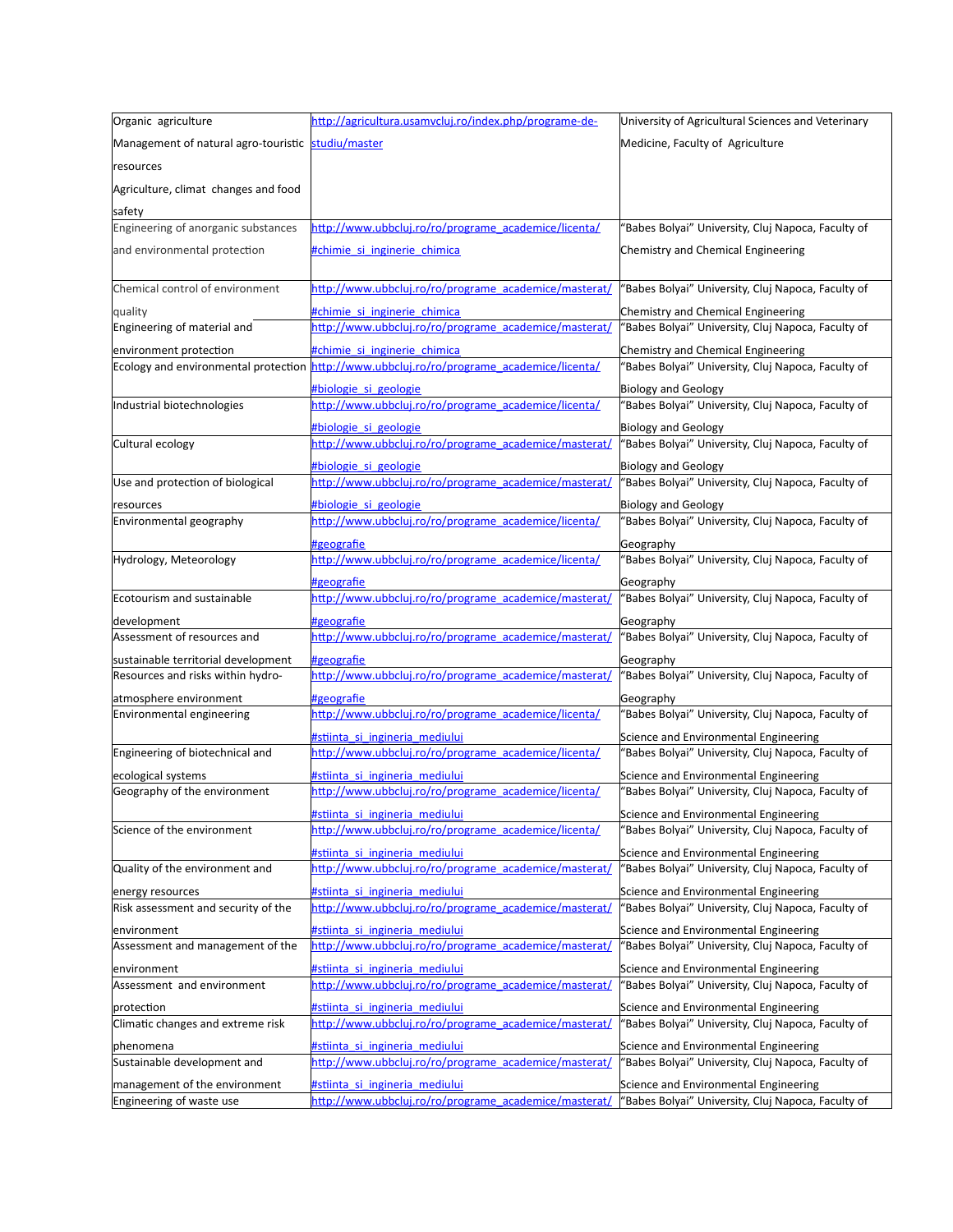| Organic agriculture                                                      | http://agricultura.usamvcluj.ro/index.php/programe-de-              | University of Agricultural Sciences and Veterinary              |
|--------------------------------------------------------------------------|---------------------------------------------------------------------|-----------------------------------------------------------------|
| Management of natural agro-touristic studiu/master                       |                                                                     | Medicine, Faculty of Agriculture                                |
| resources                                                                |                                                                     |                                                                 |
|                                                                          |                                                                     |                                                                 |
| Agriculture, climat changes and food                                     |                                                                     |                                                                 |
| safety                                                                   |                                                                     |                                                                 |
| Engineering of anorganic substances                                      | http://www.ubbcluj.ro/ro/programe_academice/licenta/                | 'Babes Bolyai" University, Cluj Napoca, Faculty of              |
| and environmental protection                                             | #chimie si inginerie chimica                                        | Chemistry and Chemical Engineering                              |
| Chemical control of environment                                          | http://www.ubbcluj.ro/ro/programe academice/masterat/               | 'Babes Bolyai" University, Cluj Napoca, Faculty of              |
| quality                                                                  | <b>#chimie si inginerie chimica</b>                                 | Chemistry and Chemical Engineering                              |
| Engineering of material and                                              | http://www.ubbcluj.ro/ro/programe_academice/masterat/               | 'Babes Bolyai" University, Cluj Napoca, Faculty of              |
| environment protection                                                   | tchimie si inginerie chimica                                        | Chemistry and Chemical Engineering                              |
| Ecology and environmental protection                                     | http://www.ubbcluj.ro/ro/programe academice/licenta/                | 'Babes Bolyai" University, Cluj Napoca, Faculty of              |
|                                                                          | #biologie si geologie                                               | <b>Biology and Geology</b>                                      |
| Industrial biotechnologies                                               | http://www.ubbcluj.ro/ro/programe_academice/licenta/                | "Babes Bolyai" University, Cluj Napoca, Faculty of              |
|                                                                          | #biologie si geologie                                               | <b>Biology and Geology</b>                                      |
| Cultural ecology                                                         | http://www.ubbcluj.ro/ro/programe_academice/masterat/               | 'Babes Bolyai" University, Cluj Napoca, Faculty of              |
|                                                                          | #biologie si geologie                                               | <b>Biology and Geology</b>                                      |
| Use and protection of biological                                         | http://www.ubbcluj.ro/ro/programe_academice/masterat/               | 'Babes Bolyai" University, Cluj Napoca, Faculty of              |
| resources                                                                | #biologie si geologie                                               | <b>Biology and Geology</b>                                      |
| Environmental geography                                                  | http://www.ubbcluj.ro/ro/programe_academice/licenta/                | 'Babes Bolyai" University, Cluj Napoca, Faculty of              |
|                                                                          | #geografie                                                          | Geography                                                       |
| Hydrology, Meteorology                                                   | http://www.ubbcluj.ro/ro/programe academice/licenta/                | 'Babes Bolyai" University, Cluj Napoca, Faculty of              |
|                                                                          | #geografie                                                          |                                                                 |
| Ecotourism and sustainable                                               | http://www.ubbcluj.ro/ro/programe_academice/masterat/               | Geography<br>'Babes Bolyai" University, Cluj Napoca, Faculty of |
|                                                                          |                                                                     |                                                                 |
| development<br>Assessment of resources and                               | #geografie<br>http://www.ubbcluj.ro/ro/programe academice/masterat/ | Geography<br>'Babes Bolyai" University, Cluj Napoca, Faculty of |
|                                                                          |                                                                     |                                                                 |
| sustainable territorial development<br>Resources and risks within hydro- | #geografie<br>http://www.ubbcluj.ro/ro/programe_academice/masterat/ | Geography<br>'Babes Bolyai" University, Cluj Napoca, Faculty of |
|                                                                          |                                                                     |                                                                 |
| atmosphere environment<br>Environmental engineering                      | #geografie<br>http://www.ubbcluj.ro/ro/programe academice/licenta/  | Geography<br>'Babes Bolyai" University, Cluj Napoca, Faculty of |
|                                                                          |                                                                     |                                                                 |
| Engineering of biotechnical and                                          | #stiinta si ingineria mediului                                      | Science and Environmental Engineering                           |
|                                                                          | http://www.ubbcluj.ro/ro/programe_academice/licenta/                | "Babes Bolyai" University, Cluj Napoca, Faculty of              |
| ecological systems                                                       | #stiinta si ingineria mediului                                      | Science and Environmental Engineering                           |
| Geography of the environment                                             | http://www.ubbcluj.ro/ro/programe_academice/licenta/                | 'Babes Bolyai" University, Cluj Napoca, Faculty of              |
|                                                                          | #stiinta si ingineria mediului                                      | Science and Environmental Engineering                           |
| Science of the environment                                               | http://www.ubbcluj.ro/ro/programe academice/licenta/                | 'Babes Bolyai" University, Cluj Napoca, Faculty of              |
|                                                                          | #stiinta si ingineria mediului                                      | Science and Environmental Engineering                           |
| Quality of the environment and                                           | http://www.ubbcluj.ro/ro/programe_academice/masterat/               | 'Babes Bolyai" University, Cluj Napoca, Faculty of              |
| energy resources                                                         | #stiinta_si_ingineria_mediului                                      | Science and Environmental Engineering                           |
| Risk assessment and security of the                                      | http://www.ubbcluj.ro/ro/programe academice/masterat/               | 'Babes Bolyai" University, Cluj Napoca, Faculty of              |
| environment                                                              | #stiinta si ingineria mediului                                      | Science and Environmental Engineering                           |
| Assessment and management of the                                         | http://www.ubbcluj.ro/ro/programe academice/masterat/               | 'Babes Bolyai" University, Cluj Napoca, Faculty of              |
| environment                                                              | #stiinta si ingineria mediului                                      | Science and Environmental Engineering                           |
| Assessment and environment                                               | http://www.ubbcluj.ro/ro/programe academice/masterat/               | 'Babes Bolyai" University, Cluj Napoca, Faculty of              |
| protection                                                               | #stiinta si ingineria mediului                                      | Science and Environmental Engineering                           |
| Climatic changes and extreme risk                                        | http://www.ubbcluj.ro/ro/programe academice/masterat/               | 'Babes Bolyai" University, Cluj Napoca, Faculty of              |
| phenomena                                                                | #stiinta si ingineria mediului                                      | Science and Environmental Engineering                           |
| Sustainable development and                                              | http://www.ubbcluj.ro/ro/programe academice/masterat/               | 'Babes Bolyai" University, Cluj Napoca, Faculty of              |
| management of the environment                                            | #stiinta si ingineria mediului                                      | Science and Environmental Engineering                           |
| Engineering of waste use                                                 | http://www.ubbcluj.ro/ro/programe academice/masterat/               | "Babes Bolyai" University, Cluj Napoca, Faculty of              |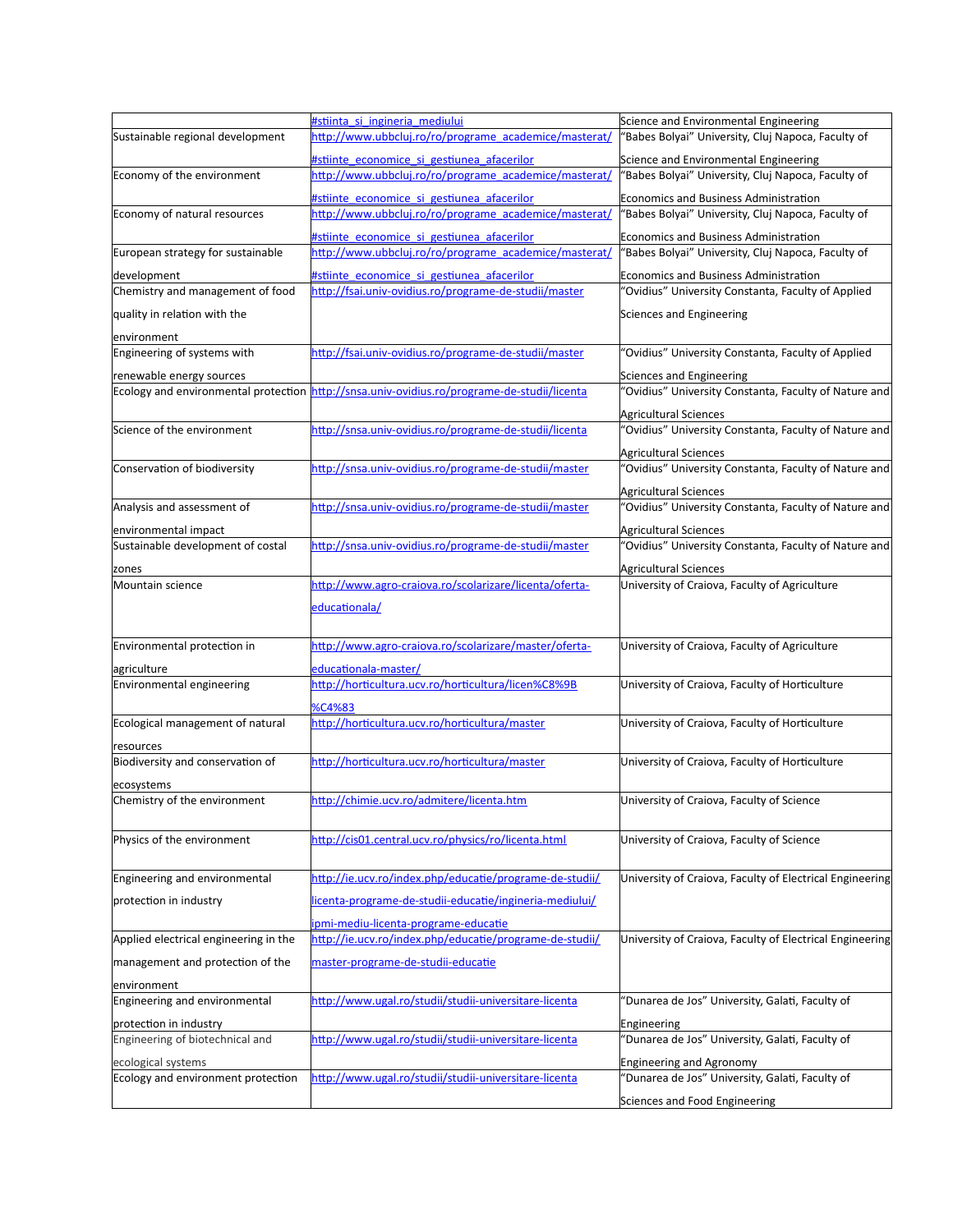|                                       | #stiinta si ingineria mediului                                                              | Science and Environmental Engineering                                          |
|---------------------------------------|---------------------------------------------------------------------------------------------|--------------------------------------------------------------------------------|
| Sustainable regional development      | http://www.ubbcluj.ro/ro/programe_academice/masterat/                                       | 'Babes Bolyai" University, Cluj Napoca, Faculty of                             |
|                                       | #stiinte economice si gestiunea afacerilor                                                  | Science and Environmental Engineering                                          |
| Economy of the environment            | http://www.ubbcluj.ro/ro/programe academice/masterat/                                       | 'Babes Bolyai" University, Cluj Napoca, Faculty of                             |
|                                       | #stiinte economice si gestiunea afacerilor                                                  | Economics and Business Administration                                          |
| Economy of natural resources          | http://www.ubbcluj.ro/ro/programe academice/masterat/                                       | 'Babes Bolyai" University, Cluj Napoca, Faculty of                             |
|                                       | #stiinte economice si gestiunea afacerilor                                                  | Economics and Business Administration                                          |
| European strategy for sustainable     | http://www.ubbcluj.ro/ro/programe_academice/masterat/                                       | 'Babes Bolyai" University, Cluj Napoca, Faculty of                             |
| development                           | #stiinte economice si gestiunea afacerilor                                                  | <b>Economics and Business Administration</b>                                   |
| Chemistry and management of food      | http://fsai.univ-ovidius.ro/programe-de-studii/master                                       | 'Ovidius" University Constanta, Faculty of Applied                             |
| quality in relation with the          |                                                                                             | Sciences and Engineering                                                       |
|                                       |                                                                                             |                                                                                |
| environment                           |                                                                                             |                                                                                |
| Engineering of systems with           | http://fsai.univ-ovidius.ro/programe-de-studii/master                                       | 'Ovidius" University Constanta, Faculty of Applied                             |
| renewable energy sources              |                                                                                             | Sciences and Engineering                                                       |
|                                       | Ecology and environmental protection http://snsa.univ-ovidius.ro/programe-de-studii/licenta | 'Ovidius" University Constanta, Faculty of Nature and                          |
|                                       |                                                                                             | Agricultural Sciences                                                          |
| Science of the environment            | http://snsa.univ-ovidius.ro/programe-de-studii/licenta                                      | 'Ovidius" University Constanta, Faculty of Nature and                          |
|                                       |                                                                                             | Agricultural Sciences                                                          |
| Conservation of biodiversity          | http://snsa.univ-ovidius.ro/programe-de-studii/master                                       | 'Ovidius" University Constanta, Faculty of Nature and                          |
|                                       |                                                                                             | Agricultural Sciences                                                          |
| Analysis and assessment of            | http://snsa.univ-ovidius.ro/programe-de-studii/master                                       | 'Ovidius" University Constanta, Faculty of Nature and                          |
| environmental impact                  |                                                                                             |                                                                                |
| Sustainable development of costal     | http://snsa.univ-ovidius.ro/programe-de-studii/master                                       | Agricultural Sciences<br>'Ovidius" University Constanta, Faculty of Nature and |
|                                       |                                                                                             |                                                                                |
| zones                                 |                                                                                             | Agricultural Sciences                                                          |
| Mountain science                      | http://www.agro-craiova.ro/scolarizare/licenta/oferta-                                      | University of Craiova, Faculty of Agriculture                                  |
|                                       | educationala/                                                                               |                                                                                |
|                                       |                                                                                             |                                                                                |
| Environmental protection in           | http://www.agro-craiova.ro/scolarizare/master/oferta-                                       | University of Craiova, Faculty of Agriculture                                  |
| agriculture                           | <u>educationala-master/</u>                                                                 |                                                                                |
| Environmental engineering             | http://horticultura.ucv.ro/horticultura/licen%C8%9B                                         | University of Craiova, Faculty of Horticulture                                 |
|                                       | %C4%83                                                                                      |                                                                                |
| Ecological management of natural      | http://horticultura.ucv.ro/horticultura/master                                              | University of Craiova, Faculty of Horticulture                                 |
| resources                             |                                                                                             |                                                                                |
| Biodiversity and conservation of      | http://horticultura.ucv.ro/horticultura/master                                              | University of Craiova, Faculty of Horticulture                                 |
|                                       |                                                                                             |                                                                                |
| ecosystems                            |                                                                                             |                                                                                |
| Chemistry of the environment          | http://chimie.ucv.ro/admitere/licenta.htm                                                   | University of Craiova, Faculty of Science                                      |
|                                       |                                                                                             |                                                                                |
| Physics of the environment            | http://cis01.central.ucv.ro/physics/ro/licenta.html                                         | University of Craiova, Faculty of Science                                      |
|                                       |                                                                                             |                                                                                |
| Engineering and environmental         | http://ie.ucv.ro/index.php/educatie/programe-de-studii/                                     | University of Craiova, Faculty of Electrical Engineering                       |
| protection in industry                | licenta-programe-de-studii-educatie/ingineria-mediului/                                     |                                                                                |
|                                       | ipmi-mediu-licenta-programe-educatie                                                        |                                                                                |
| Applied electrical engineering in the | http://ie.ucv.ro/index.php/educatie/programe-de-studii/                                     | University of Craiova, Faculty of Electrical Engineering                       |
|                                       |                                                                                             |                                                                                |
| management and protection of the      | master-programe-de-studii-educatie                                                          |                                                                                |
| lenvironment                          |                                                                                             |                                                                                |
| Engineering and environmental         | http://www.ugal.ro/studii/studii-universitare-licenta                                       | "Dunarea de Jos" University, Galati, Faculty of                                |
| protection in industry                |                                                                                             | Engineering                                                                    |
| Engineering of biotechnical and       | http://www.ugal.ro/studii/studii-universitare-licenta                                       | 'Dunarea de Jos" University, Galati, Faculty of                                |
| ecological systems                    |                                                                                             | Engineering and Agronomy                                                       |
| Ecology and environment protection    | http://www.ugal.ro/studii/studii-universitare-licenta                                       | 'Dunarea de Jos" University, Galati, Faculty of                                |
|                                       |                                                                                             | Sciences and Food Engineering                                                  |
|                                       |                                                                                             |                                                                                |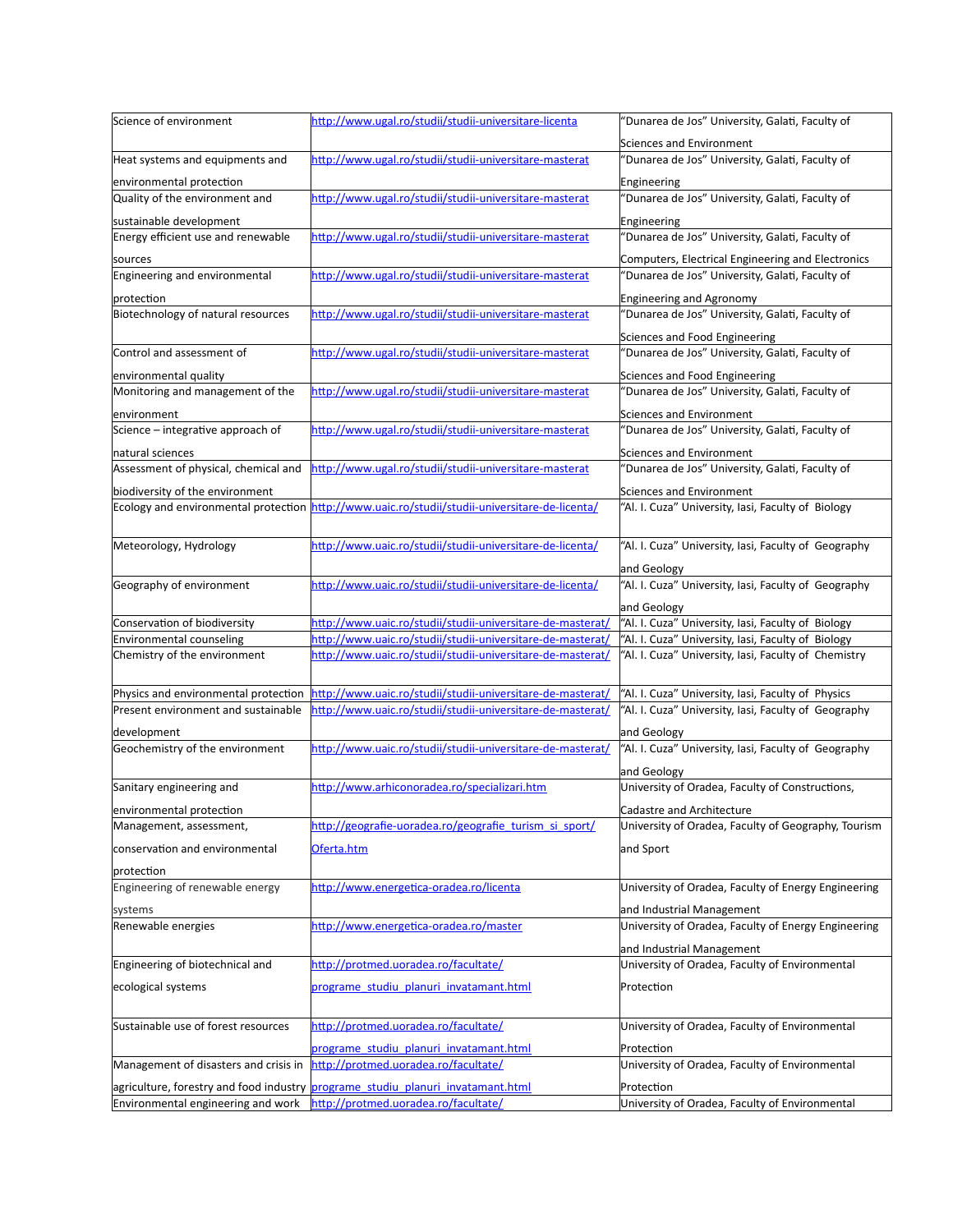| Science of environment                   | http://www.ugal.ro/studii/studii-universitare-licenta                                                                   | "Dunarea de Jos" University, Galati, Faculty of              |
|------------------------------------------|-------------------------------------------------------------------------------------------------------------------------|--------------------------------------------------------------|
|                                          |                                                                                                                         |                                                              |
|                                          |                                                                                                                         | Sciences and Environment                                     |
| Heat systems and equipments and          | http://www.ugal.ro/studii/studii-universitare-masterat                                                                  | "Dunarea de Jos" University, Galati, Faculty of              |
| environmental protection                 |                                                                                                                         | Engineering                                                  |
| Quality of the environment and           | http://www.ugal.ro/studii/studii-universitare-masterat                                                                  | "Dunarea de Jos" University, Galati, Faculty of              |
| sustainable development                  |                                                                                                                         | Engineering                                                  |
| Energy efficient use and renewable       | http://www.ugal.ro/studii/studii-universitare-masterat                                                                  | "Dunarea de Jos" University, Galati, Faculty of              |
|                                          |                                                                                                                         | Computers, Electrical Engineering and Electronics            |
| sources<br>Engineering and environmental | http://www.ugal.ro/studii/studii-universitare-masterat                                                                  | "Dunarea de Jos" University, Galati, Faculty of              |
|                                          |                                                                                                                         |                                                              |
| protection                               |                                                                                                                         | Engineering and Agronomy                                     |
| Biotechnology of natural resources       | http://www.ugal.ro/studii/studii-universitare-masterat                                                                  | "Dunarea de Jos" University, Galati, Faculty of              |
|                                          |                                                                                                                         | Sciences and Food Engineering                                |
| Control and assessment of                | http://www.ugal.ro/studii/studii-universitare-masterat                                                                  | "Dunarea de Jos" University, Galati, Faculty of              |
| environmental quality                    |                                                                                                                         | Sciences and Food Engineering                                |
| Monitoring and management of the         | http://www.ugal.ro/studii/studii-universitare-masterat                                                                  | "Dunarea de Jos" University, Galati, Faculty of              |
|                                          |                                                                                                                         |                                                              |
| environment                              |                                                                                                                         | Sciences and Environment                                     |
| Science - integrative approach of        | http://www.ugal.ro/studii/studii-universitare-masterat                                                                  | "Dunarea de Jos" University, Galati, Faculty of              |
| natural sciences                         |                                                                                                                         | Sciences and Environment                                     |
| Assessment of physical, chemical and     | http://www.ugal.ro/studii/studii-universitare-masterat                                                                  | "Dunarea de Jos" University, Galati, Faculty of              |
| biodiversity of the environment          |                                                                                                                         | Sciences and Environment                                     |
|                                          | Ecology and environmental protection http://www.uaic.ro/studii/studii-universitare-de-licenta/                          | "Al. I. Cuza" University, Iasi, Faculty of Biology           |
|                                          |                                                                                                                         |                                                              |
|                                          | http://www.uaic.ro/studii/studii-universitare-de-licenta/                                                               |                                                              |
| Meteorology, Hydrology                   |                                                                                                                         | "Al. I. Cuza" University, Iasi, Faculty of Geography         |
|                                          |                                                                                                                         | and Geology                                                  |
| Geography of environment                 | http://www.uaic.ro/studii/studii-universitare-de-licenta/                                                               | "Al. I. Cuza" University, Iasi, Faculty of Geography         |
|                                          |                                                                                                                         | and Geology                                                  |
| Conservation of biodiversity             | http://www.uaic.ro/studii/studii-universitare-de-masterat/                                                              | "Al. I. Cuza" University, Iasi, Faculty of Biology           |
| Environmental counseling                 | http://www.uaic.ro/studii/studii-universitare-de-masterat/                                                              | "Al. I. Cuza" University, Iasi, Faculty of Biology           |
| Chemistry of the environment             | http://www.uaic.ro/studii/studii-universitare-de-masterat/                                                              | "Al. I. Cuza" University, Iasi, Faculty of Chemistry         |
|                                          |                                                                                                                         |                                                              |
| Physics and environmental protection     | http://www.uaic.ro/studii/studii-universitare-de-masterat/                                                              | "Al. I. Cuza" University, Iasi, Faculty of Physics           |
| Present environment and sustainable      | http://www.uaic.ro/studii/studii-universitare-de-masterat/                                                              | "Al. I. Cuza" University, Iasi, Faculty of Geography         |
|                                          |                                                                                                                         |                                                              |
| development                              | http://www.uaic.ro/studii/studii-universitare-de-masterat/                                                              | and Geology                                                  |
| Geochemistry of the environment          |                                                                                                                         | "Al. I. Cuza" University, Iasi, Faculty of Geography         |
|                                          |                                                                                                                         |                                                              |
| Sanitary engineering and                 |                                                                                                                         | and Geology                                                  |
|                                          | http://www.arhiconoradea.ro/specializari.htm                                                                            | University of Oradea, Faculty of Constructions,              |
| environmental protection                 |                                                                                                                         | Cadastre and Architecture                                    |
| Management, assessment,                  | http://geografie-uoradea.ro/geografie turism si sport/                                                                  | University of Oradea, Faculty of Geography, Tourism          |
|                                          |                                                                                                                         |                                                              |
| conservation and environmental           | Oferta.htm                                                                                                              | and Sport                                                    |
| protection                               |                                                                                                                         |                                                              |
| Engineering of renewable energy          | http://www.energetica-oradea.ro/licenta                                                                                 | University of Oradea, Faculty of Energy Engineering          |
| systems                                  |                                                                                                                         | and Industrial Management                                    |
| Renewable energies                       | http://www.energetica-oradea.ro/master                                                                                  | University of Oradea, Faculty of Energy Engineering          |
|                                          |                                                                                                                         |                                                              |
|                                          |                                                                                                                         | and Industrial Management                                    |
| Engineering of biotechnical and          | http://protmed.uoradea.ro/facultate/                                                                                    | University of Oradea, Faculty of Environmental               |
| ecological systems                       | programe studiu planuri invatamant.html                                                                                 | Protection                                                   |
|                                          |                                                                                                                         |                                                              |
| Sustainable use of forest resources      | http://protmed.uoradea.ro/facultate/                                                                                    | University of Oradea, Faculty of Environmental               |
|                                          |                                                                                                                         |                                                              |
|                                          | programe studiu planuri invatamant.html                                                                                 | Protection                                                   |
| Management of disasters and crisis in    | http://protmed.uoradea.ro/facultate/                                                                                    | University of Oradea, Faculty of Environmental               |
| Environmental engineering and work       | agriculture, forestry and food industry programe studiu planuri invatamant.html<br>http://protmed.uoradea.ro/facultate/ | Protection<br>University of Oradea, Faculty of Environmental |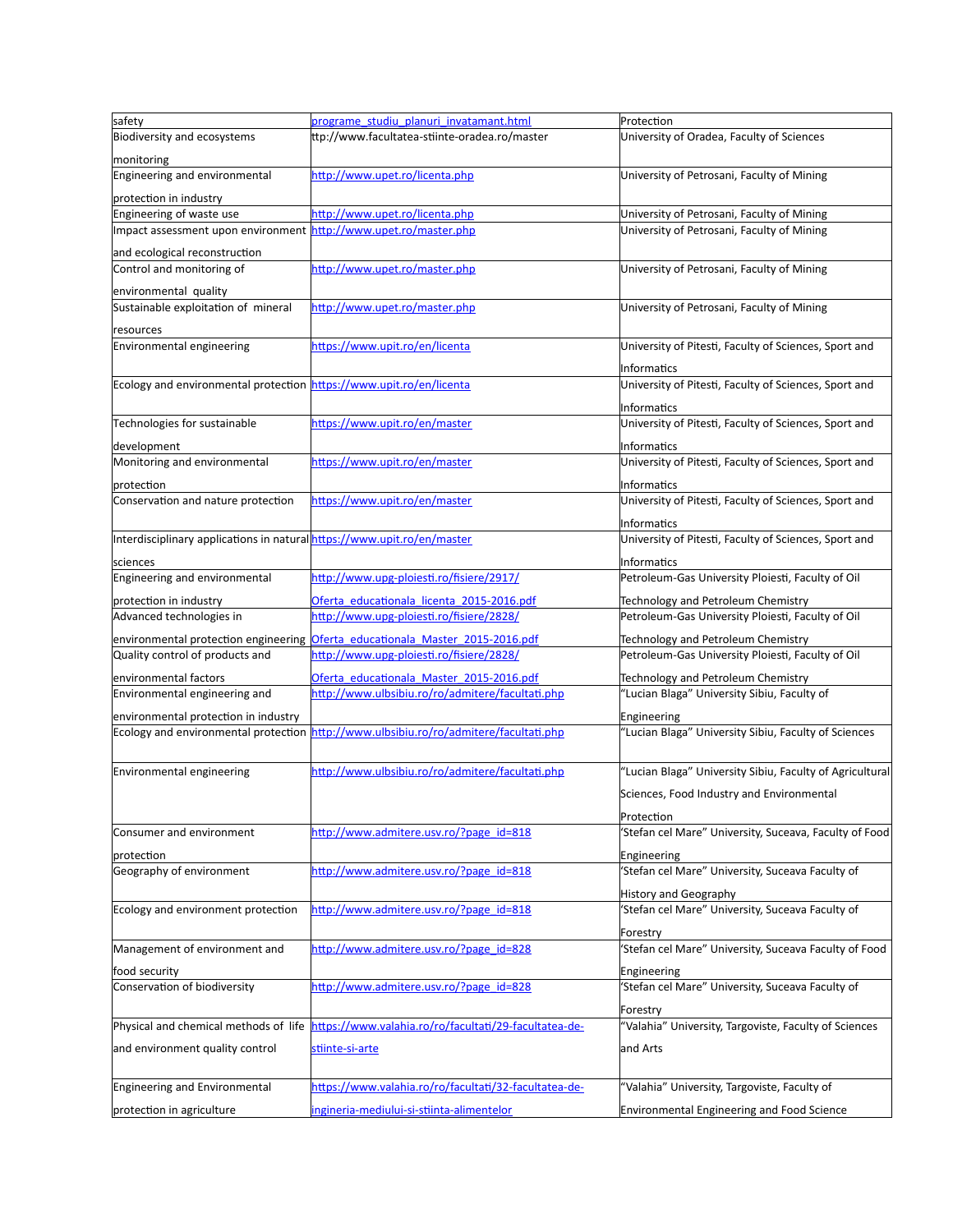| safety                                                                  | programe_studiu_planuri_invatamant.html                                                      | Protection                                                                              |
|-------------------------------------------------------------------------|----------------------------------------------------------------------------------------------|-----------------------------------------------------------------------------------------|
| Biodiversity and ecosystems                                             | ttp://www.facultatea-stiinte-oradea.ro/master                                                | University of Oradea, Faculty of Sciences                                               |
| monitoring                                                              |                                                                                              |                                                                                         |
| Engineering and environmental                                           | http://www.upet.ro/licenta.php                                                               | University of Petrosani, Faculty of Mining                                              |
| protection in industry                                                  |                                                                                              |                                                                                         |
| Engineering of waste use                                                | http://www.upet.ro/licenta.php                                                               | University of Petrosani, Faculty of Mining                                              |
| Impact assessment upon environment                                      | http://www.upet.ro/master.php                                                                | University of Petrosani, Faculty of Mining                                              |
| and ecological reconstruction                                           |                                                                                              |                                                                                         |
| Control and monitoring of                                               | http://www.upet.ro/master.php                                                                | University of Petrosani, Faculty of Mining                                              |
|                                                                         |                                                                                              |                                                                                         |
| environmental quality                                                   |                                                                                              |                                                                                         |
| Sustainable exploitation of mineral                                     | http://www.upet.ro/master.php                                                                | University of Petrosani, Faculty of Mining                                              |
| esources <sup>-</sup>                                                   |                                                                                              |                                                                                         |
| Environmental engineering                                               | https://www.upit.ro/en/licenta                                                               | University of Pitesti, Faculty of Sciences, Sport and                                   |
|                                                                         |                                                                                              | Informatics                                                                             |
| Ecology and environmental protection https://www.upit.ro/en/licenta     |                                                                                              | University of Pitesti, Faculty of Sciences, Sport and                                   |
|                                                                         |                                                                                              | Informatics                                                                             |
| Technologies for sustainable                                            | https://www.upit.ro/en/master                                                                | University of Pitesti, Faculty of Sciences, Sport and                                   |
|                                                                         |                                                                                              |                                                                                         |
| development                                                             | https://www.upit.ro/en/master                                                                | Informatics                                                                             |
| Monitoring and environmental                                            |                                                                                              | University of Pitesti, Faculty of Sciences, Sport and                                   |
| protection                                                              |                                                                                              | <b>Informatics</b>                                                                      |
| Conservation and nature protection                                      | https://www.upit.ro/en/master                                                                | University of Pitesti, Faculty of Sciences, Sport and                                   |
|                                                                         |                                                                                              | Informatics                                                                             |
| Interdisciplinary applications in natural https://www.upit.ro/en/master |                                                                                              | University of Pitesti, Faculty of Sciences, Sport and                                   |
| sciences                                                                |                                                                                              | Informatics                                                                             |
| Engineering and environmental                                           | http://www.upg-ploiesti.ro/fisiere/2917/                                                     | Petroleum-Gas University Ploiesti, Faculty of Oil                                       |
|                                                                         |                                                                                              |                                                                                         |
| protection in industry<br>Advanced technologies in                      | Oferta educationala licenta 2015-2016.pdf<br>http://www.upg-ploiesti.ro/fisiere/2828/        | Technology and Petroleum Chemistry<br>Petroleum-Gas University Ploiesti, Faculty of Oil |
|                                                                         |                                                                                              |                                                                                         |
| environmental protection engineering                                    | Oferta_educationala_Master_2015-2016.pdf                                                     | Technology and Petroleum Chemistry                                                      |
| Quality control of products and                                         | http://www.upg-ploiesti.ro/fisiere/2828/                                                     | Petroleum-Gas University Ploiesti, Faculty of Oil                                       |
| environmental factors                                                   | Oferta educationala Master 2015-2016.pdf                                                     | Technology and Petroleum Chemistry                                                      |
| Environmental engineering and                                           | http://www.ulbsibiu.ro/ro/admitere/facultati.php                                             | "Lucian Blaga" University Sibiu, Faculty of                                             |
| environmental protection in industry                                    |                                                                                              | Engineering                                                                             |
|                                                                         | Ecology and environmental protection <i>http://www.ulbsibiu.ro/ro/admitere/facultati.php</i> | "Lucian Blaga" University Sibiu, Faculty of Sciences                                    |
|                                                                         |                                                                                              |                                                                                         |
| Environmental engineering                                               | http://www.ulbsibiu.ro/ro/admitere/facultati.php                                             | "Lucian Blaga" University Sibiu, Faculty of Agricultural                                |
|                                                                         |                                                                                              |                                                                                         |
|                                                                         |                                                                                              | Sciences, Food Industry and Environmental                                               |
|                                                                         |                                                                                              | Protection                                                                              |
| Consumer and environment                                                | http://www.admitere.usv.ro/?page_id=818                                                      | 'Stefan cel Mare" University, Suceava, Faculty of Food                                  |
| protection                                                              |                                                                                              | Engineering                                                                             |
| Geography of environment                                                | http://www.admitere.usv.ro/?page_id=818                                                      | 'Stefan cel Mare" University, Suceava Faculty of                                        |
|                                                                         |                                                                                              | <b>History and Geography</b>                                                            |
| Ecology and environment protection                                      | http://www.admitere.usv.ro/?page_id=818                                                      | 'Stefan cel Mare" University, Suceava Faculty of                                        |
|                                                                         |                                                                                              |                                                                                         |
|                                                                         |                                                                                              | Forestry                                                                                |
| Management of environment and                                           | http://www.admitere.usv.ro/?page_id=828                                                      | Stefan cel Mare" University, Suceava Faculty of Food                                    |
| food security                                                           |                                                                                              | Engineering                                                                             |
| Conservation of biodiversity                                            | http://www.admitere.usv.ro/?page_id=828                                                      | 'Stefan cel Mare" University, Suceava Faculty of                                        |
|                                                                         |                                                                                              | Forestry                                                                                |
| Physical and chemical methods of life                                   | https://www.valahia.ro/ro/facultati/29-facultatea-de-                                        | 'Valahia" University, Targoviste, Faculty of Sciences                                   |
| and environment quality control                                         | stiinte-si-arte                                                                              | and Arts                                                                                |
|                                                                         |                                                                                              |                                                                                         |
|                                                                         |                                                                                              |                                                                                         |
| Engineering and Environmental                                           | https://www.valahia.ro/ro/facultati/32-facultatea-de-                                        | "Valahia" University, Targoviste, Faculty of                                            |
| protection in agriculture                                               | ingineria-mediului-si-stiinta-alimentelor                                                    | Environmental Engineering and Food Science                                              |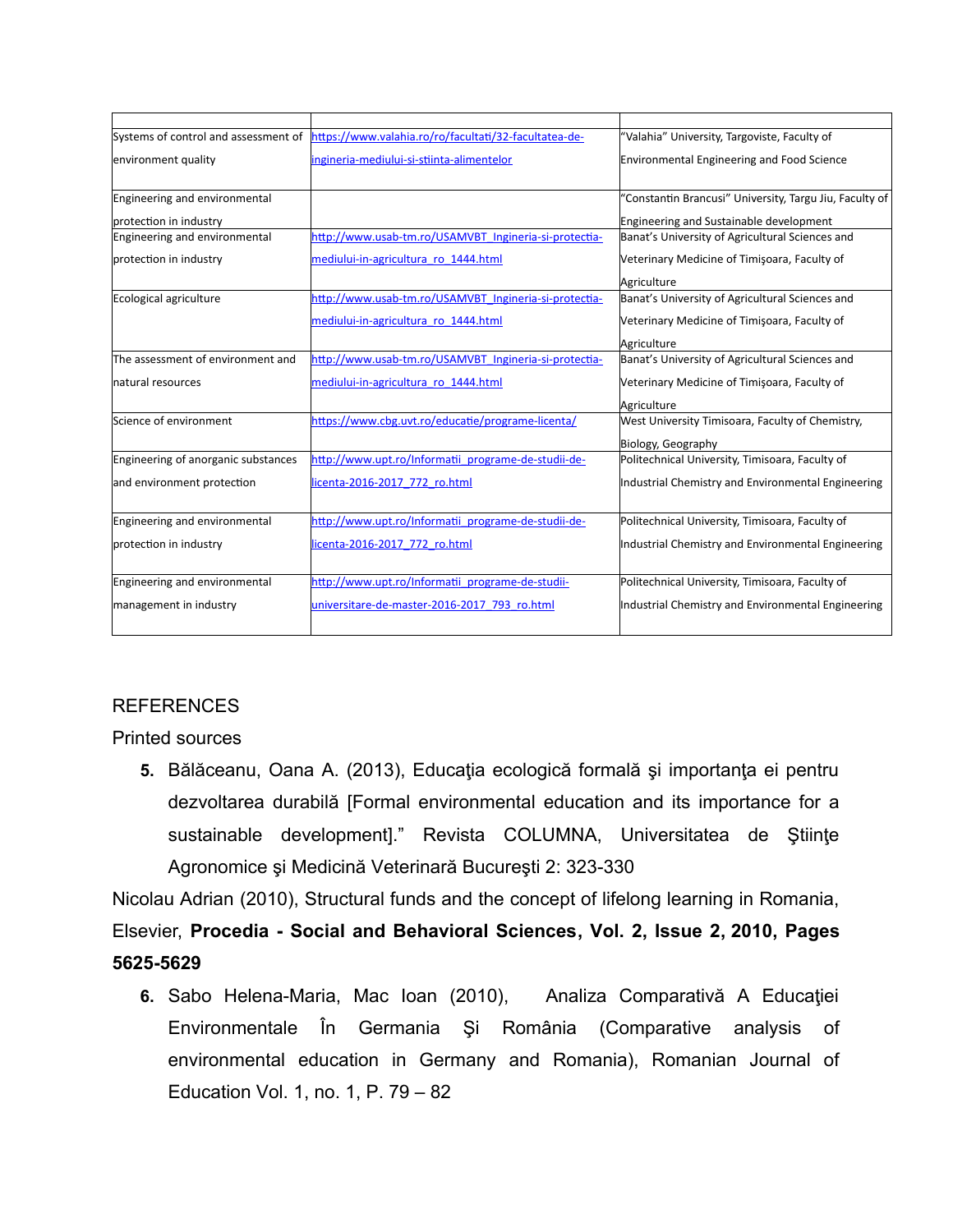|                                     | Systems of control and assessment of https://www.valahia.ro/ro/facultati/32-facultatea-de- | "Valahia" University, Targoviste, Faculty of            |
|-------------------------------------|--------------------------------------------------------------------------------------------|---------------------------------------------------------|
| environment quality                 | ingineria-mediului-si-stiinta-alimentelor                                                  | <b>Environmental Engineering and Food Science</b>       |
| Engineering and environmental       |                                                                                            | "Constantin Brancusi" University, Targu Jiu, Faculty of |
| protection in industry              |                                                                                            | Engineering and Sustainable development                 |
| Engineering and environmental       | http://www.usab-tm.ro/USAMVBT Ingineria-si-protectia-                                      | Banat's University of Agricultural Sciences and         |
| protection in industry              | mediului-in-agricultura ro 1444.html                                                       | Veterinary Medicine of Timişoara, Faculty of            |
|                                     |                                                                                            | Agriculture                                             |
| Ecological agriculture              | http://www.usab-tm.ro/USAMVBT Ingineria-si-protectia-                                      | Banat's University of Agricultural Sciences and         |
|                                     | mediului-in-agricultura ro 1444.html                                                       | Veterinary Medicine of Timişoara, Faculty of            |
|                                     |                                                                                            | Agriculture                                             |
| The assessment of environment and   | http://www.usab-tm.ro/USAMVBT_Ingineria-si-protectia-                                      | Banat's University of Agricultural Sciences and         |
| Inatural resources                  | mediului-in-agricultura ro 1444.html                                                       | Veterinary Medicine of Timişoara, Faculty of            |
|                                     |                                                                                            | Agriculture                                             |
| Science of environment              | https://www.cbg.uvt.ro/educatie/programe-licenta/                                          | West University Timisoara, Faculty of Chemistry,        |
|                                     |                                                                                            | Biology, Geography                                      |
| Engineering of anorganic substances | http://www.upt.ro/Informatii programe-de-studii-de-                                        | Politechnical University, Timisoara, Faculty of         |
| and environment protection          | licenta-2016-2017 772 ro.html                                                              | Industrial Chemistry and Environmental Engineering      |
| Engineering and environmental       | http://www.upt.ro/Informatii programe-de-studii-de-                                        | Politechnical University, Timisoara, Faculty of         |
| protection in industry              | licenta-2016-2017 772 ro.html                                                              | Industrial Chemistry and Environmental Engineering      |
| Engineering and environmental       | http://www.upt.ro/Informatii programe-de-studii-                                           | Politechnical University, Timisoara, Faculty of         |
|                                     |                                                                                            |                                                         |
| management in industry              | universitare-de-master-2016-2017 793 ro.html                                               | Industrial Chemistry and Environmental Engineering      |
|                                     |                                                                                            |                                                         |

# REFERENCES

Printed sources

**5.** Bălăceanu, Oana A. (2013), Educaţia ecologică formală şi importanţa ei pentru dezvoltarea durabilă [Formal environmental education and its importance for a sustainable development]." Revista COLUMNA, Universitatea de Stiințe Agronomice şi Medicină Veterinară Bucureşti 2: 323-330

Nicolau Adrian (2010), Structural funds and the concept of lifelong learning in Romania, Elsevier, **[Procedia - Social and Behavioral Sciences,](http://www.sciencedirect.com/science/journal/18770428) [Vol. 2, Issue 2,](http://www.sciencedirect.com/science/journal/18770428/2/2) 2010, Pages 5625-5629**

**6.** Sabo Helena-Maria, Mac Ioan (2010), Analiza Comparativă A Educaţiei Environmentale În Germania Şi România (Comparative analysis of environmental education in Germany and Romania), Romanian Journal of Education Vol. 1, no. 1, P. 79 – 82